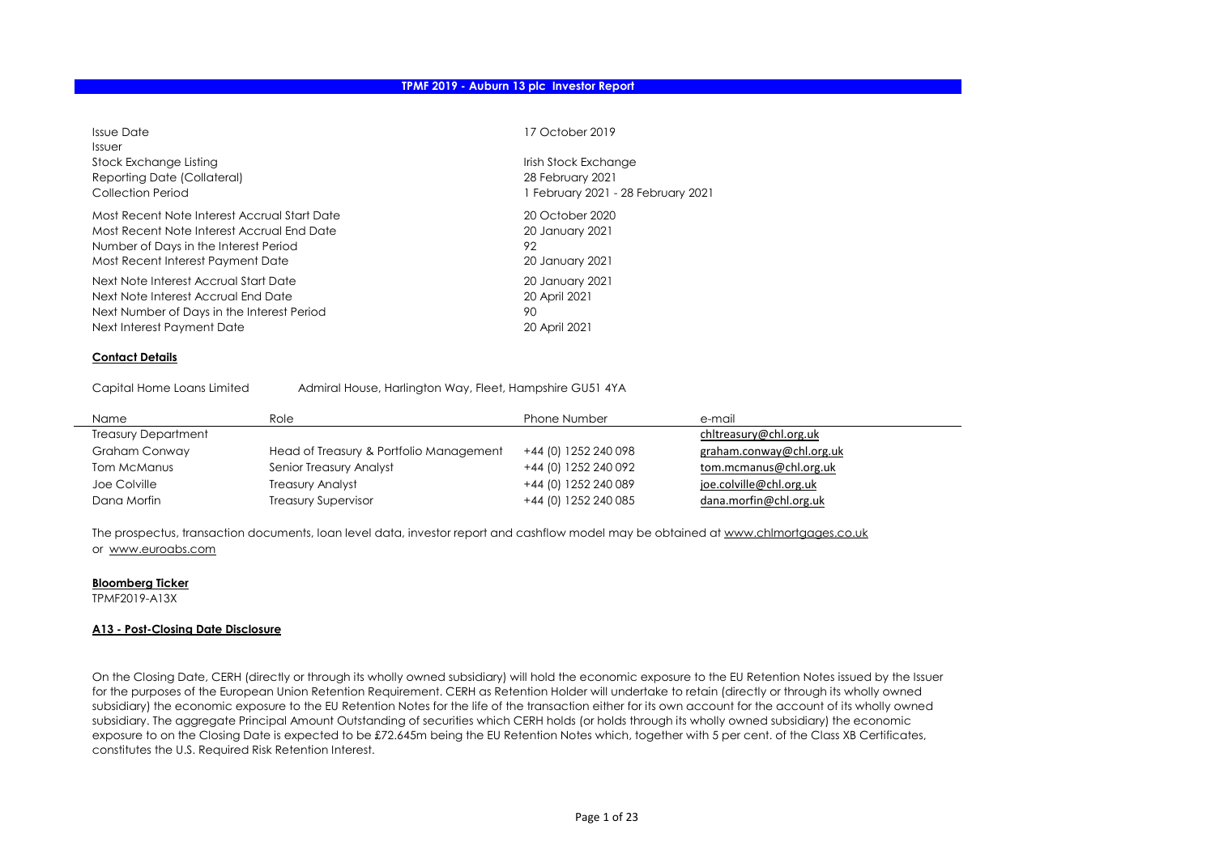| Issue Date<br><i>Issuer</i>                  | 17 October 2019                    |
|----------------------------------------------|------------------------------------|
| Stock Exchange Listing                       | Irish Stock Exchange               |
| Reporting Date (Collateral)                  | 28 February 2021                   |
| Collection Period                            | 1 February 2021 - 28 February 2021 |
| Most Recent Note Interest Accrual Start Date | 20 October 2020                    |
| Most Recent Note Interest Accrual End Date   | 20 January 2021                    |
| Number of Days in the Interest Period        | 92                                 |
| Most Recent Interest Payment Date            | 20 January 2021                    |
| Next Note Interest Accrual Start Date        | 20 January 2021                    |
| Next Note Interest Accrual End Date          | 20 April 2021                      |
| Next Number of Days in the Interest Period   | 90                                 |
| Next Interest Payment Date                   | 20 April 2021                      |

#### Contact Details

Capital Home Loans Limited Admiral House, Harlington Way, Fleet, Hampshire GU51 4YA

| Name                       | Role                                    | <b>Phone Number</b>  | e-mail                   |
|----------------------------|-----------------------------------------|----------------------|--------------------------|
| <b>Treasury Department</b> |                                         |                      | chltreasury@chl.org.uk   |
| Graham Conway              | Head of Treasury & Portfolio Management | +44 (0) 1252 240 098 | graham.conway@chl.org.uk |
| Tom McManus                | Senior Treasury Analyst                 | +44 (0) 1252 240 092 | tom.mcmanus@chl.org.uk   |
| Joe Colville               | <b>Treasury Analyst</b>                 | +44 (0) 1252 240 089 | joe.colville@chl.org.uk  |
| Dana Morfin                | <b>Treasury Supervisor</b>              | +44 (0) 1252 240 085 | dana.morfin@chl.org.uk   |

The prospectus, transaction documents, loan level data, investor report and cashflow model may be obtained at www.chlmortgages.co.uk or www.euroabs.com

#### Bloomberg Ticker

TPMF2019-A13X

#### A13 - Post-Closing Date Disclosure

On the Closing Date, CERH (directly or through its wholly owned subsidiary) will hold the economic exposure to the EU Retention Notes issued by the Issuer for the purposes of the European Union Retention Requirement. CERH as Retention Holder will undertake to retain (directly or through its wholly owned subsidiary) the economic exposure to the EU Retention Notes for the life of the transaction either for its own account for the account of its wholly owned subsidiary. The aggregate Principal Amount Outstanding of securities which CERH holds (or holds through its wholly owned subsidiary) the economic exposure to on the Closing Date is expected to be £72.645m being the EU Retention Notes which, together with 5 per cent. of the Class XB Certificates, constitutes the U.S. Required Risk Retention Interest.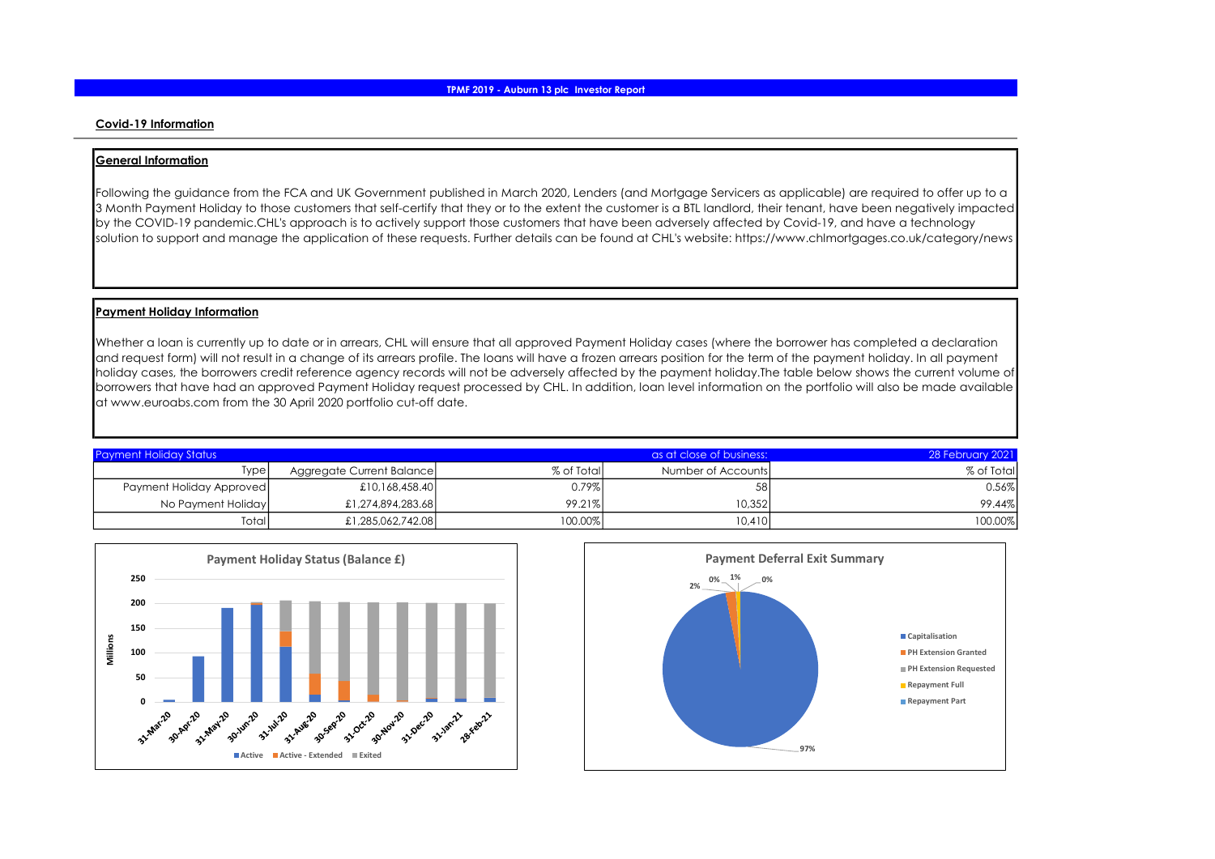#### Covid-19 Information

#### General Information

Following the guidance from the FCA and UK Government published in March 2020, Lenders (and Mortgage Servicers as applicable) are required to offer up to a 3 Month Payment Holiday to those customers that self-certify that they or to the extent the customer is a BTL landlord, their tenant, have been negatively impacted by the COVID-19 pandemic.CHL's approach is to actively support those customers that have been adversely affected by Covid-19, and have a technology solution to support and manage the application of these requests. Further details can be found at CHL's website: https://www.chlmortgages.co.uk/category/news

#### Payment Holiday Information

Whether a loan is currently up to date or in arrears, CHL will ensure that all approved Payment Holiday cases (where the borrower has completed a declaration and request form) will not result in a change of its arrears profile. The loans will have a frozen arrears position for the term of the payment holiday. In all payment holiday cases, the borrowers credit reference agency records will not be adversely affected by the payment holiday.The table below shows the current volume of borrowers that have had an approved Payment Holiday request processed by CHL. In addition, loan level information on the portfolio will also be made available at www.euroabs.com from the 30 April 2020 portfolio cut-off date.

| <b>Payment Holiday Status</b> |                           |            | as at close of business: | 28 February 2021 |
|-------------------------------|---------------------------|------------|--------------------------|------------------|
| Type                          | Aggregate Current Balance | % of Total | Number of Accounts       | % of Total       |
| Payment Holiday Approved      | £10,168,458.40            | 0.79%      | 58                       | 0.56%            |
| No Payment Holiday            | £1,274,894,283.68         | 99.21%     | 10.352                   | 99.44%           |
| Total                         | £1,285,062,742.08         | 100.00%    | 10.410                   | 100.00%          |



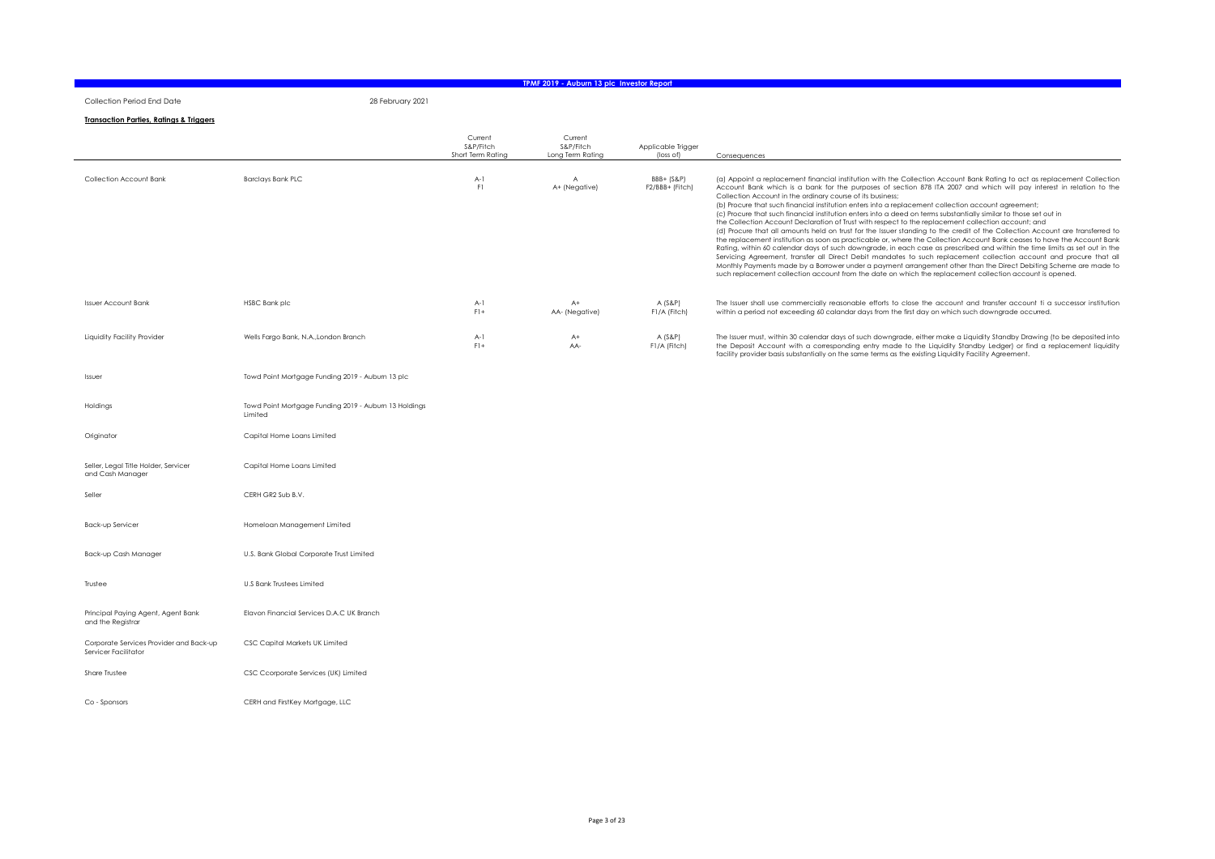#### Collection Period End Date 28 February 2021

#### TPMF 2019 - Auburn 13 plc Investor Report

<u> 1989 - Jan Samuel Barbara, martxa a shekara tsara 1989 - An tsara 1989 - An tsara 1989 - An tsara 1989 - An t</u>

#### Transaction Parties, Ratings & Triggers

|                                                                 |                                                                  | Current<br>S&P/Fitch<br>Short Term Rating | Current<br>S&P/Fitch<br>Long Term Rating | Applicable Trigger<br>(loss of) | Consequences                                                                                                                                                                                                                                                                                                                                                                                                                                                                                                                                                                                                                                                                                                                                                                                                                                                                                                                                                                                                                                                                                                                                                                                                                                                                                                                                                                                         |
|-----------------------------------------------------------------|------------------------------------------------------------------|-------------------------------------------|------------------------------------------|---------------------------------|------------------------------------------------------------------------------------------------------------------------------------------------------------------------------------------------------------------------------------------------------------------------------------------------------------------------------------------------------------------------------------------------------------------------------------------------------------------------------------------------------------------------------------------------------------------------------------------------------------------------------------------------------------------------------------------------------------------------------------------------------------------------------------------------------------------------------------------------------------------------------------------------------------------------------------------------------------------------------------------------------------------------------------------------------------------------------------------------------------------------------------------------------------------------------------------------------------------------------------------------------------------------------------------------------------------------------------------------------------------------------------------------------|
| Collection Account Bank                                         | <b>Barclays Bank PLC</b>                                         | $A-1$<br>F1                               | A<br>A+ (Negative)                       | BBB+ (S&P)<br>F2/BBB+ (Fitch)   | (a) Appoint a replacement financial institution with the Collection Account Bank Rating to act as replacement Collection<br>Account Bank which is a bank for the purposes of section 878 ITA 2007 and which will pay interest in relation to the<br>Collection Account in the ordinary course of its business;<br>(b) Procure that such financial institution enters into a replacement collection account agreement;<br>(c) Procure that such financial institution enters into a deed on terms substantially similar to those set out in<br>the Collection Account Declaration of Trust with respect to the replacement collection account; and<br>(d) Procure that all amounts held on trust for the Issuer standing to the credit of the Collection Account are transferred to<br>the replacement institution as soon as practicable or, where the Collection Account Bank ceases to have the Account Bank<br>Rating, within 60 calendar days of such downgrade, in each case as prescribed and within the time limits as set out in the<br>Servicing Agreement, transfer all Direct Debit mandates to such replacement collection account and procure that all<br>Monthly Payments made by a Borrower under a payment arrangement other than the Direct Debiting Scheme are made to<br>such replacement collection account from the date on which the replacement collection account is opened. |
| <b>Issuer Account Bank</b>                                      | <b>HSBC Bank plc</b>                                             | $A-1$<br>$F$ ] +                          | $A+$<br>AA- (Negative)                   | $A$ (S&P)<br>F1/A (Fitch)       | The Issuer shall use commercially reasonable efforts to close the account and transfer account ti a successor institution<br>within a period not exceeding 60 calandar days from the first day on which such downgrade occurred.                                                                                                                                                                                                                                                                                                                                                                                                                                                                                                                                                                                                                                                                                                                                                                                                                                                                                                                                                                                                                                                                                                                                                                     |
| Liquidity Facility Provider                                     | Wells Fargo Bank, N.A., London Branch                            | $A-1$<br>$F1+$                            | $A+$<br>AA-                              | $A(S\&P)$<br>F1/A (Fitch)       | The Issuer must, within 30 calendar days of such downgrade, either make a Liquidity Standby Drawing (to be deposited into<br>the Deposit Account with a corresponding entry made to the Liquidity Standby Ledger) or find a replacement liquidity<br>facility provider basis substantially on the same terms as the existing Liquidity Facility Agreement.                                                                                                                                                                                                                                                                                                                                                                                                                                                                                                                                                                                                                                                                                                                                                                                                                                                                                                                                                                                                                                           |
| Issuer                                                          | Towd Point Mortgage Funding 2019 - Auburn 13 plc                 |                                           |                                          |                                 |                                                                                                                                                                                                                                                                                                                                                                                                                                                                                                                                                                                                                                                                                                                                                                                                                                                                                                                                                                                                                                                                                                                                                                                                                                                                                                                                                                                                      |
| Holdings                                                        | Towd Point Mortgage Funding 2019 - Auburn 13 Holdings<br>Limited |                                           |                                          |                                 |                                                                                                                                                                                                                                                                                                                                                                                                                                                                                                                                                                                                                                                                                                                                                                                                                                                                                                                                                                                                                                                                                                                                                                                                                                                                                                                                                                                                      |
| Originator                                                      | Capital Home Loans Limited                                       |                                           |                                          |                                 |                                                                                                                                                                                                                                                                                                                                                                                                                                                                                                                                                                                                                                                                                                                                                                                                                                                                                                                                                                                                                                                                                                                                                                                                                                                                                                                                                                                                      |
| Seller, Legal Title Holder, Servicer<br>and Cash Manager        | Capital Home Loans Limited                                       |                                           |                                          |                                 |                                                                                                                                                                                                                                                                                                                                                                                                                                                                                                                                                                                                                                                                                                                                                                                                                                                                                                                                                                                                                                                                                                                                                                                                                                                                                                                                                                                                      |
| Seller                                                          | CERH GR2 Sub B.V.                                                |                                           |                                          |                                 |                                                                                                                                                                                                                                                                                                                                                                                                                                                                                                                                                                                                                                                                                                                                                                                                                                                                                                                                                                                                                                                                                                                                                                                                                                                                                                                                                                                                      |
| <b>Back-up Servicer</b>                                         | Homeloan Management Limited                                      |                                           |                                          |                                 |                                                                                                                                                                                                                                                                                                                                                                                                                                                                                                                                                                                                                                                                                                                                                                                                                                                                                                                                                                                                                                                                                                                                                                                                                                                                                                                                                                                                      |
| Back-up Cash Manager                                            | U.S. Bank Global Corporate Trust Limited                         |                                           |                                          |                                 |                                                                                                                                                                                                                                                                                                                                                                                                                                                                                                                                                                                                                                                                                                                                                                                                                                                                                                                                                                                                                                                                                                                                                                                                                                                                                                                                                                                                      |
| Trustee                                                         | <b>U.S Bank Trustees Limited</b>                                 |                                           |                                          |                                 |                                                                                                                                                                                                                                                                                                                                                                                                                                                                                                                                                                                                                                                                                                                                                                                                                                                                                                                                                                                                                                                                                                                                                                                                                                                                                                                                                                                                      |
| Principal Paying Agent, Agent Bank<br>and the Registrar         | Elavon Financial Services D.A.C UK Branch                        |                                           |                                          |                                 |                                                                                                                                                                                                                                                                                                                                                                                                                                                                                                                                                                                                                                                                                                                                                                                                                                                                                                                                                                                                                                                                                                                                                                                                                                                                                                                                                                                                      |
| Corporate Services Provider and Back-up<br>Servicer Facilitator | CSC Capital Markets UK Limited                                   |                                           |                                          |                                 |                                                                                                                                                                                                                                                                                                                                                                                                                                                                                                                                                                                                                                                                                                                                                                                                                                                                                                                                                                                                                                                                                                                                                                                                                                                                                                                                                                                                      |
| Share Trustee                                                   | CSC Ccorporate Services (UK) Limited                             |                                           |                                          |                                 |                                                                                                                                                                                                                                                                                                                                                                                                                                                                                                                                                                                                                                                                                                                                                                                                                                                                                                                                                                                                                                                                                                                                                                                                                                                                                                                                                                                                      |
| Co - Sponsors                                                   | CERH and FirstKey Mortgage, LLC                                  |                                           |                                          |                                 |                                                                                                                                                                                                                                                                                                                                                                                                                                                                                                                                                                                                                                                                                                                                                                                                                                                                                                                                                                                                                                                                                                                                                                                                                                                                                                                                                                                                      |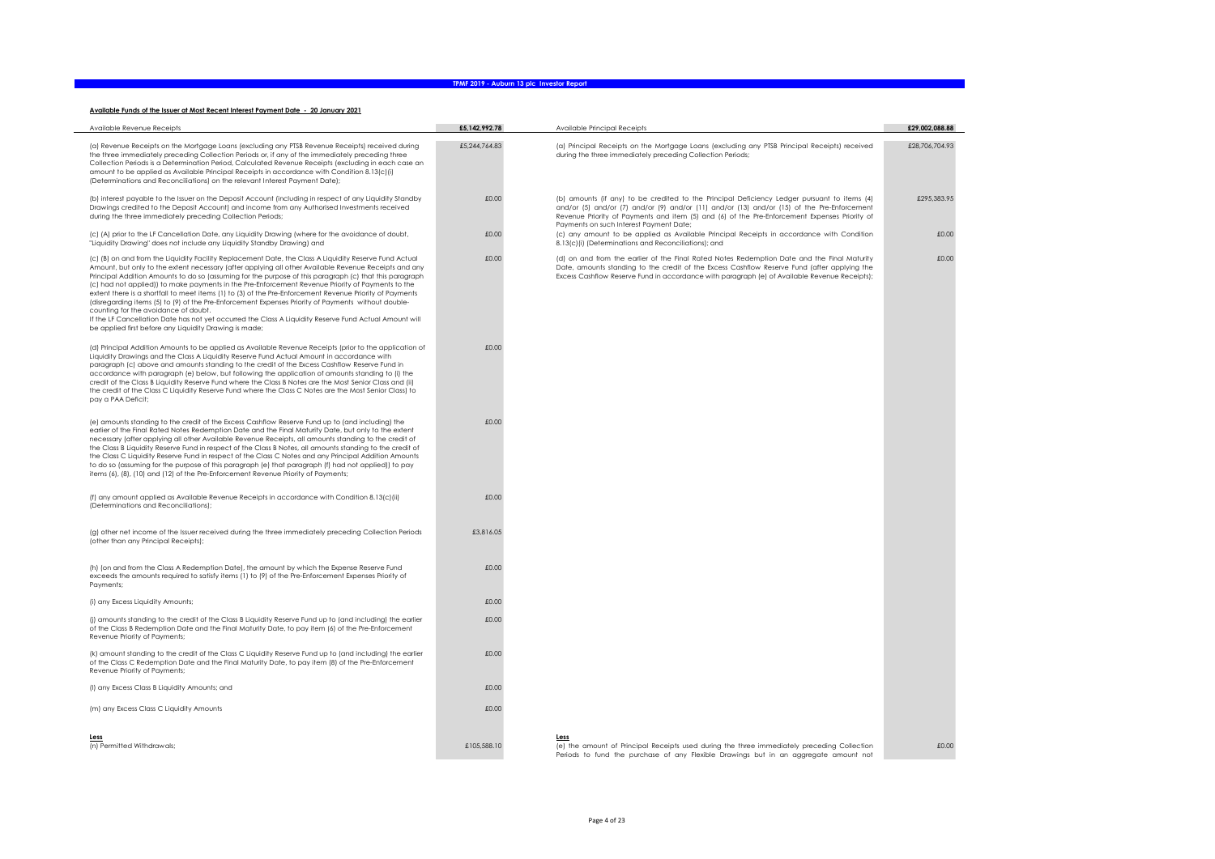#### Available Funds of the Issuer at Most Recent Interest Payment Date - 20 January 2021

| Available Revenue Receipts                                                                                                                                                                                                                                                                                                                                                                                                                                                                                                                                                                                                                                                                                                                                                                                                                                     | £5,142,992.78 | Available Principal Receipts                                                                                                                                                                                                                                                                 | £29,002,088.88 |
|----------------------------------------------------------------------------------------------------------------------------------------------------------------------------------------------------------------------------------------------------------------------------------------------------------------------------------------------------------------------------------------------------------------------------------------------------------------------------------------------------------------------------------------------------------------------------------------------------------------------------------------------------------------------------------------------------------------------------------------------------------------------------------------------------------------------------------------------------------------|---------------|----------------------------------------------------------------------------------------------------------------------------------------------------------------------------------------------------------------------------------------------------------------------------------------------|----------------|
| (a) Revenue Receipts on the Mortgage Loans (excluding any PTSB Revenue Receipts) received during<br>the three immediately preceding Collection Periods or, if any of the immediately preceding three<br>Collection Periods is a Determination Period, Calculated Revenue Receipts (excluding in each case an<br>amount to be applied as Available Principal Receipts in accordance with Condition 8.13(c)(i)<br>(Determinations and Reconciliations) on the relevant Interest Payment Date);                                                                                                                                                                                                                                                                                                                                                                   | £5,244,764.83 | (a) Principal Receipts on the Mortgage Loans (excluding any PTSB Principal Receipts) received<br>during the three immediately preceding Collection Periods;                                                                                                                                  | £28,706,704.93 |
| (b) interest payable to the Issuer on the Deposit Account (including in respect of any Liquidity Standby<br>Drawings credited to the Deposit Account) and income from any Authorised Investments received<br>during the three immediately preceding Collection Periods;                                                                                                                                                                                                                                                                                                                                                                                                                                                                                                                                                                                        | £0.00         | (b) amounts (if any) to be credited to the Principal Deficiency Ledger pursuant to items (4)<br>and/or (5) and/or (7) and/or (9) and/or (11) and/or (13) and/or (15) of the Pre-Enforcement<br>Revenue Priority of Payments and item (5) and (6) of the Pre-Enforcement Expenses Priority of | £295,383.95    |
| (c) (A) prior to the LF Cancellation Date, any Liquidity Drawing (where for the avoidance of doubt,<br>"Liquidity Drawing" does not include any Liquidity Standby Drawing) and                                                                                                                                                                                                                                                                                                                                                                                                                                                                                                                                                                                                                                                                                 | £0.00         | Payments on such Interest Payment Date;<br>(c) any amount to be applied as Available Principal Receipts in accordance with Condition<br>8.13(c)(i) (Determinations and Reconciliations); and                                                                                                 | £0.00          |
| (c) (B) on and from the Liquidity Facility Replacement Date, the Class A Liquidity Reserve Fund Actual<br>Amount, but only to the extent necessary (after applying all other Available Revenue Receipts and any<br>Principal Addition Amounts to do so (assuming for the purpose of this paragraph (c) that this paragraph<br>(c) had not applied)) to make payments in the Pre-Enforcement Revenue Priority of Payments to the<br>extent there is a shortfall to meet items (1) to (3) of the Pre-Enforcement Revenue Priority of Payments<br>(disregarding items (5) to (9) of the Pre-Enforcement Expenses Priority of Payments without double-<br>counting for the avoidance of doubt.<br>If the LF Cancellation Date has not yet occurred the Class A Liquidity Reserve Fund Actual Amount will<br>be applied first before any Liquidity Drawing is made; | £0.00         | (d) on and from the earlier of the Final Rated Notes Redemption Date and the Final Maturity<br>Date, amounts standing to the credit of the Excess Cashflow Reserve Fund (after applying the<br>Excess Cashflow Reserve Fund in accordance with paragraph (e) of Available Revenue Receipts); | £0.00          |
| (d) Principal Addition Amounts to be applied as Available Revenue Receipts (prior to the application of<br>Liquidity Drawings and the Class A Liquidity Reserve Fund Actual Amount in accordance with<br>paragraph (c) above and amounts standing to the credit of the Excess Cashflow Reserve Fund in<br>accordance with paragraph (e) below, but following the application of amounts standing to (i) the<br>credit of the Class B Liquidity Reserve Fund where the Class B Notes are the Most Senior Class and (ii)<br>the credit of the Class C Liquidity Reserve Fund where the Class C Notes are the Most Senior Class) to<br>pay a PAA Deficit;                                                                                                                                                                                                         | £0.00         |                                                                                                                                                                                                                                                                                              |                |
| (e) amounts standing to the credit of the Excess Cashflow Reserve Fund up to (and including) the<br>earlier of the Final Rated Notes Redemption Date and the Final Maturity Date, but only to the extent<br>necessary (after applying all other Available Revenue Receipts, all amounts standing to the credit of<br>the Class B Liquidity Reserve Fund in respect of the Class B Notes, all amounts standing to the credit of<br>the Class C Liquidity Reserve Fund in respect of the Class C Notes and any Principal Addition Amounts<br>to do so (assuming for the purpose of this paragraph (e) that paragraph (f) had not applied)) to pay<br>items (6), (8), (10) and (12) of the Pre-Enforcement Revenue Priority of Payments;                                                                                                                          | £0.00         |                                                                                                                                                                                                                                                                                              |                |
| (f) any amount applied as Available Revenue Receipts in accordance with Condition 8.13(c)(ii)<br>(Determinations and Reconciliations);                                                                                                                                                                                                                                                                                                                                                                                                                                                                                                                                                                                                                                                                                                                         | £0.00         |                                                                                                                                                                                                                                                                                              |                |
| (g) other net income of the Issuer received during the three immediately preceding Collection Periods<br>(other than any Principal Receipts);                                                                                                                                                                                                                                                                                                                                                                                                                                                                                                                                                                                                                                                                                                                  | £3.816.05     |                                                                                                                                                                                                                                                                                              |                |
| (h) (on and from the Class A Redemption Date), the amount by which the Expense Reserve Fund<br>exceeds the amounts required to satisfy items (1) to (9) of the Pre-Enforcement Expenses Priority of<br>Payments;                                                                                                                                                                                                                                                                                                                                                                                                                                                                                                                                                                                                                                               | £0.00         |                                                                                                                                                                                                                                                                                              |                |
| (i) any Excess Liquidity Amounts;                                                                                                                                                                                                                                                                                                                                                                                                                                                                                                                                                                                                                                                                                                                                                                                                                              | £0.00         |                                                                                                                                                                                                                                                                                              |                |
| (j) amounts standing to the credit of the Class B Liquidity Reserve Fund up to (and including) the earlier<br>of the Class B Redemption Date and the Final Maturity Date, to pay item (6) of the Pre-Enforcement<br>Revenue Priority of Payments;                                                                                                                                                                                                                                                                                                                                                                                                                                                                                                                                                                                                              | £0.00         |                                                                                                                                                                                                                                                                                              |                |
| (k) amount standing to the credit of the Class C Liquidity Reserve Fund up to (and including) the earlier<br>of the Class C Redemption Date and the Final Maturity Date, to pay item (8) of the Pre-Enforcement<br>Revenue Priority of Payments;                                                                                                                                                                                                                                                                                                                                                                                                                                                                                                                                                                                                               | £0.00         |                                                                                                                                                                                                                                                                                              |                |
| (I) any Excess Class B Liquidity Amounts; and                                                                                                                                                                                                                                                                                                                                                                                                                                                                                                                                                                                                                                                                                                                                                                                                                  | £0.00         |                                                                                                                                                                                                                                                                                              |                |
| (m) any Excess Class C Liquidity Amounts                                                                                                                                                                                                                                                                                                                                                                                                                                                                                                                                                                                                                                                                                                                                                                                                                       | £0.00         |                                                                                                                                                                                                                                                                                              |                |
| Less<br>(n) Permitted Withdrawals;                                                                                                                                                                                                                                                                                                                                                                                                                                                                                                                                                                                                                                                                                                                                                                                                                             | £105,588.10   | Less<br>(e) the amount of Principal Receipts used during the three immediately preceding Collection<br>Periods to fund the purchase of any Flexible Drawings but in an aggregate amount not                                                                                                  | £0.00          |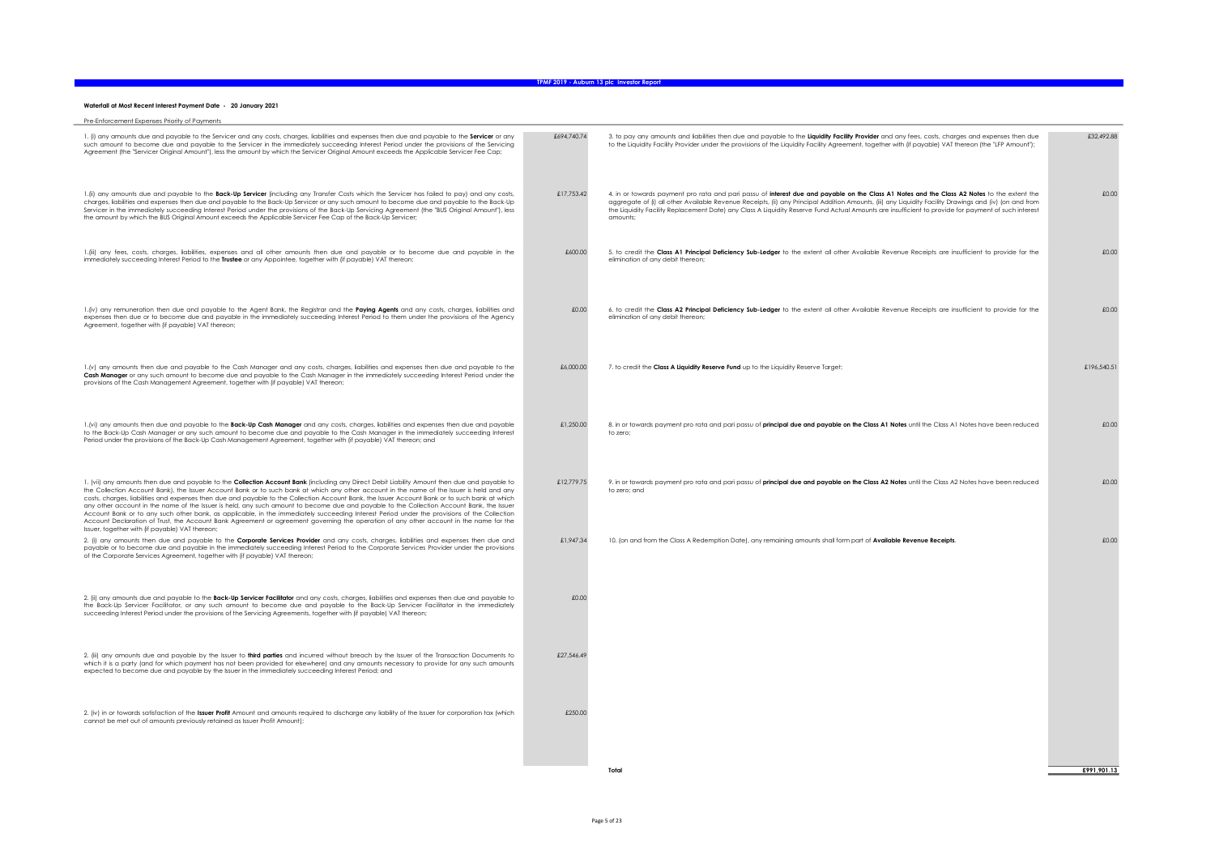#### Waterfall at Most Recent Interest Payment Date - 20 January 2021

| Pre-Enforcement Expenses Priority of Payments                                                                                                                                                                                                                                                                                                                                                                                                                                                                                                                                                                                                                                                                                                                                                                                                                                       |             |                                                                                                                                                                                                                                                                                                                                                                                                                                                                           |             |
|-------------------------------------------------------------------------------------------------------------------------------------------------------------------------------------------------------------------------------------------------------------------------------------------------------------------------------------------------------------------------------------------------------------------------------------------------------------------------------------------------------------------------------------------------------------------------------------------------------------------------------------------------------------------------------------------------------------------------------------------------------------------------------------------------------------------------------------------------------------------------------------|-------------|---------------------------------------------------------------------------------------------------------------------------------------------------------------------------------------------------------------------------------------------------------------------------------------------------------------------------------------------------------------------------------------------------------------------------------------------------------------------------|-------------|
| 1. (i) any amounts due and payable to the Servicer and any costs, charges, liabilities and expenses then due and payable to the Servicer or any<br>such amount to become due and payable to the Servicer in the immediately succeeding Interest Period under the provisions of the Servicing<br>Agreement (the "Servicer Original Amount"), less the amount by which the Servicer Original Amount exceeds the Applicable Servicer Fee Cap;                                                                                                                                                                                                                                                                                                                                                                                                                                          | £694,740.74 | 3. to pay any amounts and liabilities then due and payable to the Liquidity Facility Provider and any fees, costs, charges and expenses then due<br>to the Liquidity Facility Provider under the provisions of the Liquidity Facility Agreement, together with (if payable) VAT thereon (the "LFP Amount");                                                                                                                                                               | £32,492.88  |
| 1.(ii) any amounts due and payable to the <b>Back-Up Servicer</b> (including any Transfer Costs which the Servicer has failed to pay) and any costs,<br>charges, liabilities and expenses then due and payable to the Back-Up Servicer or any such amount to become due and payable to the Back-Up<br>Servicer in the immediately succeeding Interest Period under the provisions of the Back-Up Servicing Agreement (the "BUS Original Amount"), less<br>the amount by which the BUS Original Amount exceeds the Applicable Servicer Fee Cap of the Back-Up Servicer;                                                                                                                                                                                                                                                                                                              | £17,753.42  | 4. in or towards payment pro rata and pari passu of interest due and payable on the Class A1 Notes and the Class A2 Notes to the extent the<br>aggregate of (i) all other Available Revenue Receipts, (ii) any Principal Addition Amounts, (iii) any Liquidity Facility Drawings and (iv) (on and from<br>the Liquidity Facility Replacement Date) any Class A Liquidity Reserve Fund Actual Amounts are insufficient to provide for payment of such interest<br>amounts: | £0.00       |
| 1.(iii) any fees, costs, charges, liabilities, expenses and all other amounts then due and payable or to become due and payable in the<br>immediately succeeding Interest Period to the Trustee or any Appointee, together with (if payable) VAT thereon;                                                                                                                                                                                                                                                                                                                                                                                                                                                                                                                                                                                                                           | £600.00     | 5. to credit the Class A1 Principal Deficiency Sub-Ledger to the extent all other Available Revenue Receipts are insufficient to provide for the<br>elimination of any debit thereon:                                                                                                                                                                                                                                                                                     | £0.00       |
| 1.(iv) any remuneration then due and payable to the Agent Bank, the Registrar and the Paying Agents and any costs, charges, liabilities and<br>expenses then due or to become due and payable in the immediately succeeding Interest Period to them under the provisions of the Agency<br>Agreement, together with (if payable) VAT thereon;                                                                                                                                                                                                                                                                                                                                                                                                                                                                                                                                        | £0.00       | 6. to credit the Class A2 Principal Deficiency Sub-Ledger to the extent all other Available Revenue Receipts are insufficient to provide for the<br>elimination of any debit thereon;                                                                                                                                                                                                                                                                                     | £0.00       |
| 1.(v) any amounts then due and payable to the Cash Manager and any costs, charges, liabilities and expenses then due and payable to the<br>Cash Manager or any such amount to become due and payable to the Cash Manager in the immediately succeeding Interest Period under the<br>provisions of the Cash Management Agreement, together with (if payable) VAT thereon;                                                                                                                                                                                                                                                                                                                                                                                                                                                                                                            | £6,000.00   | 7. to credit the Class A Liquidity Reserve Fund up to the Liquidity Reserve Target;                                                                                                                                                                                                                                                                                                                                                                                       | £196,540.51 |
| 1.(vi) any amounts then due and payable to the <b>Back-Up Cash Manager</b> and any costs, charges, liabilities and expenses then due and payable<br>to the Back-Up Cash Manager or any such amount to become due and payable to the Cash Manager in the immediately succeeding Interest<br>Period under the provisions of the Back-Up Cash Management Agreement, together with (if payable) VAT thereon; and                                                                                                                                                                                                                                                                                                                                                                                                                                                                        | £1,250.00   | 8. in or towards payment pro rata and pari passu of principal due and payable on the Class A1 Notes until the Class A1 Notes have been reduced<br>to zero:                                                                                                                                                                                                                                                                                                                | £0.00       |
| 1. (vii) any amounts then due and payable to the Collection Account Bank (including any Direct Debit Liability Amount then due and payable to<br>the Collection Account Bank), the Issuer Account Bank or to such bank at which any other account in the name of the Issuer is held and any<br>costs, charges, liabilities and expenses then due and payable to the Collection Account Bank, the Issuer Account Bank or to such bank at which<br>any other account in the name of the Issuer is held, any such amount to become due and payable to the Collection Account Bank, the Issuer<br>Account Bank or to any such other bank, as applicable, in the immediately succeeding Interest Period under the provisions of the Collection<br>Account Declaration of Trust, the Account Bank Agreement or agreement governing the operation of any other account in the name for the | £12.779.75  | 9. in or towards payment pro rata and pari passu of principal due and payable on the Class A2 Notes until the Class A2 Notes have been reduced<br>to zero; and                                                                                                                                                                                                                                                                                                            | £0.00       |
| Issuer, together with (if payable) VAT thereon;<br>2. (i) any amounts then due and payable to the Corporate Services Provider and any costs, charges, liabilities and expenses then due and<br>payable or to become due and payable in the immediately succeeding Interest Period to the Corporate Services Provider under the provisions<br>of the Corporate Services Agreement, together with (if payable) VAT thereon;                                                                                                                                                                                                                                                                                                                                                                                                                                                           | £1,947.34   | 10. (on and from the Class A Redemption Date), any remaining amounts shall form part of Available Revenue Receipts.                                                                                                                                                                                                                                                                                                                                                       | £0.00       |
| 2. (ii) any amounts due and payable to the Back-Up Servicer Facilitator and any costs, charges, liabilities and expenses then due and payable to<br>the Back-Up Servicer Facilitator, or any such amount to become due and payable to the Back-Up Servicer Facilitator in the immediately<br>succeeding Interest Period under the provisions of the Servicing Agreements, together with (if payable) VAT thereon;                                                                                                                                                                                                                                                                                                                                                                                                                                                                   | £0.00       |                                                                                                                                                                                                                                                                                                                                                                                                                                                                           |             |
| 2. (iii) any amounts due and payable by the Issuer to third parties and incurred without breach by the Issuer of the Transaction Documents to<br>which it is a party (and for which payment has not been provided for elsewhere) and any amounts necessary to provide for any such amounts<br>expected to become due and payable by the Issuer in the immediately succeeding Interest Period; and                                                                                                                                                                                                                                                                                                                                                                                                                                                                                   | £27,546.49  |                                                                                                                                                                                                                                                                                                                                                                                                                                                                           |             |
| 2. (iv) in or towards satisfaction of the Issuer Profit Amount and amounts required to discharge any liability of the Issuer for corporation tax (which<br>cannot be met out of amounts previously retained as Issuer Profit Amount);                                                                                                                                                                                                                                                                                                                                                                                                                                                                                                                                                                                                                                               | £250.00     |                                                                                                                                                                                                                                                                                                                                                                                                                                                                           |             |
|                                                                                                                                                                                                                                                                                                                                                                                                                                                                                                                                                                                                                                                                                                                                                                                                                                                                                     |             | <b>Total</b>                                                                                                                                                                                                                                                                                                                                                                                                                                                              | £991.901.13 |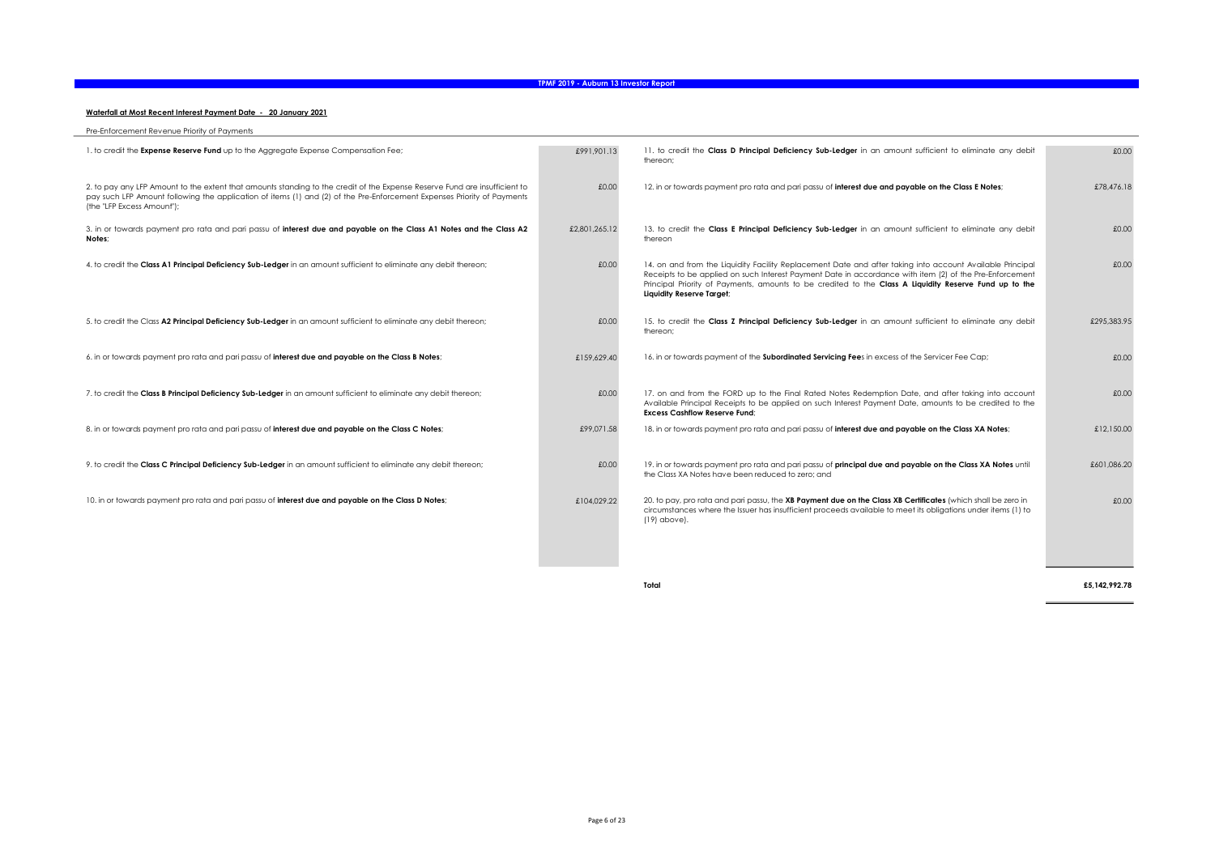#### Waterfall at Most Recent Interest Payment Date - 20 January 2021

| Pre-Enforcement Revenue Priority of Payments                                                                                                                                                                                                                                        |               |                                                                                                                                                                                                                                                                                                                                                             |             |
|-------------------------------------------------------------------------------------------------------------------------------------------------------------------------------------------------------------------------------------------------------------------------------------|---------------|-------------------------------------------------------------------------------------------------------------------------------------------------------------------------------------------------------------------------------------------------------------------------------------------------------------------------------------------------------------|-------------|
| 1. to credit the Expense Reserve Fund up to the Aggregate Expense Compensation Fee;                                                                                                                                                                                                 | £991.901.13   | 11. to credit the Class D Principal Deficiency Sub-Ledger in an amount sufficient to eliminate any debit<br>thereon:                                                                                                                                                                                                                                        | £0.00       |
| 2. to pay any LFP Amount to the extent that amounts standing to the credit of the Expense Reserve Fund are insufficient to<br>pay such LFP Amount following the application of items (1) and (2) of the Pre-Enforcement Expenses Priority of Payments<br>(the "LFP Excess Amount"); | £0.00         | 12. in or towards payment pro rata and pari passu of interest due and payable on the Class E Notes;                                                                                                                                                                                                                                                         | £78,476.18  |
| 3. in or towards payment pro rata and pari passu of interest due and payable on the Class A1 Notes and the Class A2<br>Notes:                                                                                                                                                       | £2,801,265,12 | 13. to credit the Class E Principal Deficiency Sub-Ledger in an amount sufficient to eliminate any debit<br>thereon                                                                                                                                                                                                                                         | £0.00       |
| 4. to credit the Class A1 Principal Deficiency Sub-Ledger in an amount sufficient to eliminate any debit thereon;                                                                                                                                                                   | £0.00         | 14. on and from the Liquidity Facility Replacement Date and after taking into account Available Principal<br>Receipts to be applied on such Interest Payment Date in accordance with item (2) of the Pre-Enforcement<br>Principal Priority of Payments, amounts to be credited to the Class A Liquidity Reserve Fund up to the<br>Liquidity Reserve Target; | £0.00       |
| 5. to credit the Class A2 Principal Deficiency Sub-Ledger in an amount sufficient to eliminate any debit thereon;                                                                                                                                                                   | £0.00         | 15. to credit the Class Z Principal Deficiency Sub-Ledger in an amount sufficient to eliminate any debit<br>thereon:                                                                                                                                                                                                                                        | £295.383.95 |
| 6. in or towards payment pro rata and pari passu of interest due and payable on the Class B Notes;                                                                                                                                                                                  | £159,629.40   | 16. in or towards payment of the Subordinated Servicing Fees in excess of the Servicer Fee Cap;                                                                                                                                                                                                                                                             | £0.00       |
| 7. to credit the Class B Principal Deficiency Sub-Ledger in an amount sufficient to eliminate any debit thereon;                                                                                                                                                                    | £0.00         | 17, on and from the FORD up to the Final Rated Notes Redemption Date, and after taking into account<br>Available Principal Receipts to be applied on such Interest Payment Date, amounts to be credited to the<br><b>Excess Cashflow Reserve Fund:</b>                                                                                                      | £0.00       |
| 8. in or towards payment pro rata and pari passu of interest due and payable on the Class C Notes;                                                                                                                                                                                  | £99,071.58    | 18. in or towards payment pro rata and pari passu of interest due and payable on the Class XA Notes;                                                                                                                                                                                                                                                        | £12,150.00  |
| 9. to credit the Class C Principal Deficiency Sub-Ledger in an amount sufficient to eliminate any debit thereon;                                                                                                                                                                    | £0.00         | 19. in or towards payment pro rata and pari passu of <b>principal due and payable on the Class XA Notes</b> until<br>the Class XA Notes have been reduced to zero; and                                                                                                                                                                                      | £601,086.20 |
| 10. in or towards payment pro rata and pari passu of interest due and payable on the Class D Notes;                                                                                                                                                                                 | £104.029.22   | 20. to pay, pro rata and pari passu, the XB Payment due on the Class XB Certificates (which shall be zero in<br>circumstances where the Issuer has insufficient proceeds available to meet its obligations under items (1) to<br>(19) above).                                                                                                               | £0.00       |

Total £5,142,992.78 

-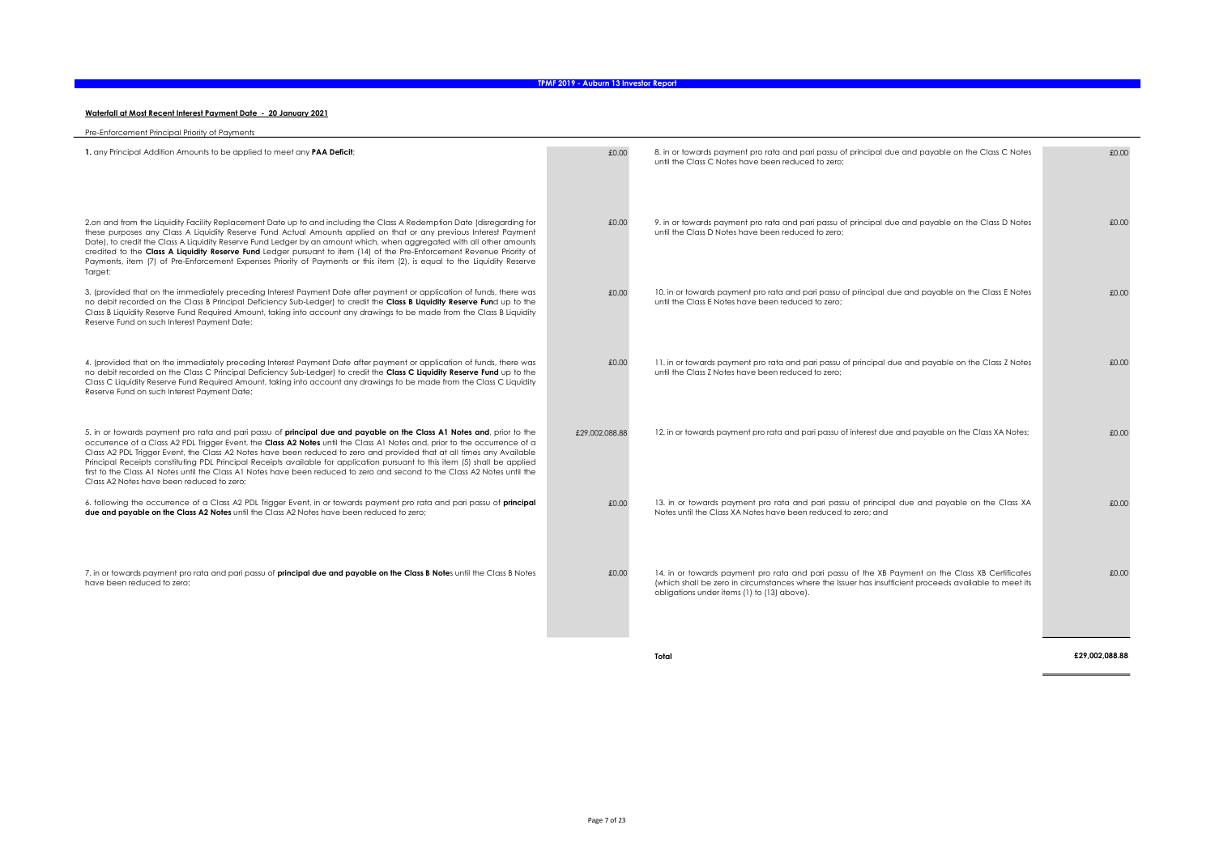#### Waterfall at Most Recent Interest Payment Date - 20 January 2021

| Pre-Enforcement Principal Priority of Payments                                                                                                                                                                                                                                                                                                                                                                                                                                                                                                                                                                                                                                               |                |                                                                                                                                                                                                                                                           |       |
|----------------------------------------------------------------------------------------------------------------------------------------------------------------------------------------------------------------------------------------------------------------------------------------------------------------------------------------------------------------------------------------------------------------------------------------------------------------------------------------------------------------------------------------------------------------------------------------------------------------------------------------------------------------------------------------------|----------------|-----------------------------------------------------------------------------------------------------------------------------------------------------------------------------------------------------------------------------------------------------------|-------|
| 1. any Principal Addition Amounts to be applied to meet any PAA Deficit;                                                                                                                                                                                                                                                                                                                                                                                                                                                                                                                                                                                                                     | £0.00          | 8. in or towards payment pro rata and pari passu of principal due and payable on the Class C Notes<br>until the Class C Notes have been reduced to zero:                                                                                                  | £0.00 |
| 2.on and from the Liquidity Facility Replacement Date up to and including the Class A Redemption Date (disregarding for<br>these purposes any Class A Liquidity Reserve Fund Actual Amounts applied on that or any previous Interest Payment<br>Date), to credit the Class A Liquidity Reserve Fund Ledger by an amount which, when aggregated with all other amounts<br>credited to the Class A Liquidity Reserve Fund Ledger pursuant to item (14) of the Pre-Enforcement Revenue Priority of<br>Payments, item (7) of Pre-Enforcement Expenses Priority of Payments or this item (2), is equal to the Liquidity Reserve<br>Target;                                                        | £0.00          | 9. in or towards payment pro rata and pari passu of principal due and payable on the Class D Notes<br>until the Class D Notes have been reduced to zero:                                                                                                  | £0.00 |
| 3. (provided that on the immediately preceding Interest Payment Date after payment or application of funds, there was<br>no debit recorded on the Class B Principal Deficiency Sub-Ledger) to credit the Class B Liquidity Reserve Fund up to the<br>Class B Liquidity Reserve Fund Required Amount, taking into account any drawings to be made from the Class B Liquidity<br>Reserve Fund on such Interest Payment Date;                                                                                                                                                                                                                                                                   | £0.00          | 10. in or towards payment pro rata and pari passu of principal due and payable on the Class E Notes<br>until the Class E Notes have been reduced to zero:                                                                                                 | £0.00 |
| 4. (provided that on the immediately preceding Interest Payment Date after payment or application of funds, there was<br>no debit recorded on the Class C Principal Deficiency Sub-Ledger) to credit the Class C Liquidity Reserve Fund up to the<br>Class C Liquidity Reserve Fund Required Amount, taking into account any drawings to be made from the Class C Liquidity<br>Reserve Fund on such Interest Payment Date;                                                                                                                                                                                                                                                                   | £0.00          | 11. in or towards payment pro rata and pari passu of principal due and payable on the Class Z Notes<br>until the Class Z Notes have been reduced to zero:                                                                                                 | £0.00 |
| 5. in or towards payment pro rata and pari passu of <b>principal due and payable on the Class A1 Notes and</b> , prior to the<br>occurrence of a Class A2 PDL Trigger Event, the Class A2 Notes until the Class A1 Notes and, prior to the occurrence of a<br>Class A2 PDL Trigger Event, the Class A2 Notes have been reduced to zero and provided that at all times any Available<br>Principal Receipts constituting PDL Principal Receipts available for application pursuant to this item (5) shall be applied<br>first to the Class A1 Notes until the Class A1 Notes have been reduced to zero and second to the Class A2 Notes until the<br>Class A2 Notes have been reduced to zero: | £29,002,088,88 | 12. in or towards payment pro rata and pari passu of interest due and payable on the Class XA Notes;                                                                                                                                                      | £0.00 |
| 6. following the occurrence of a Class A2 PDL Trigger Event, in or towards payment pro rata and pari passu of principal<br>due and payable on the Class A2 Notes until the Class A2 Notes have been reduced to zero;                                                                                                                                                                                                                                                                                                                                                                                                                                                                         | £0.00          | 13. in or towards payment pro rata and pari passu of principal due and payable on the Class XA<br>Notes until the Class XA Notes have been reduced to zero: and                                                                                           | £0.00 |
| 7. in or towards payment pro rata and pari passu of <b>principal due and payable on the Class B Note</b> s until the Class B Notes<br>have been reduced to zero;                                                                                                                                                                                                                                                                                                                                                                                                                                                                                                                             | £0.00          | 14. in or towards payment pro rata and pari passu of the XB Payment on the Class XB Certificates<br>(which shall be zero in circumstances where the Issuer has insufficient proceeds available to meet its<br>obligations under items (1) to (13) above). | £0.00 |

Total £29,002,088.88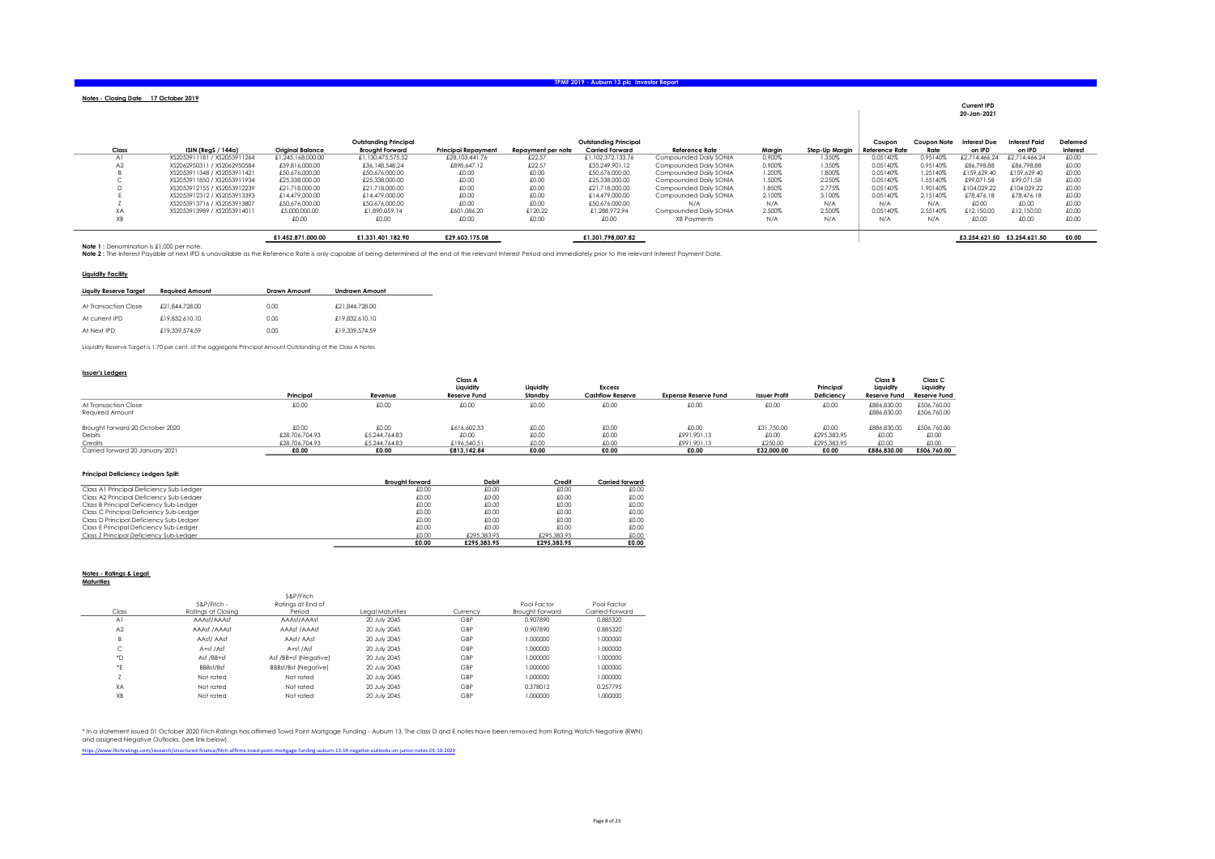| TPMF 2019 - Auburn 13 plc Investor Report |
|-------------------------------------------|
|-------------------------------------------|

| Notes - Closing Date 17 October 2019 |                             |                         |                                                 |                            |                    |                                                 |                        |        |                |                                 |                            | <b>Current IPD</b><br>20-Jan-2021 |                         |                      |
|--------------------------------------|-----------------------------|-------------------------|-------------------------------------------------|----------------------------|--------------------|-------------------------------------------------|------------------------|--------|----------------|---------------------------------|----------------------------|-----------------------------------|-------------------------|----------------------|
| Class                                | ISIN (RegS / 144a)          | <b>Original Balance</b> | Outstanding Principal<br><b>Brought Forward</b> | <b>Principal Repayment</b> | Repayment per note | Outstandina Principal<br><b>Carried Forward</b> | Reference Rate         | Margin | Step-Up Marain | Coupon<br><b>Reference Rate</b> | <b>Coupon Note</b><br>Rate | <b>Interest Due</b><br>on IPD     | Interest Paid<br>on IPD | Deferred<br>Interest |
| A.                                   | XS2053911181 / XS2053911264 | £1.245.168.000.00       | £1.130.475.575.52                               | £28,103,441.76             | £22.57             | £1.102.372.133.76                               | Compounded Daily SONIA | 0.900% | 1.350%         | 0.05140%                        | 0.95140%                   | £2.714.466.                       | £2.714.466.24           | £0.00                |
|                                      | XS2062950311 / XS2062950584 | £39.816.000.00          | £36.148.548.24                                  | £898.647.12                | £22.57             | £35,249,901.12                                  | Compounded Daily SONIA | 0.900% | 1.350%         | 0.05140%                        | 0.95140%                   | £86.798.88                        | £86.798.88              | £0.00                |
|                                      | XS2053911348 / XS2053911421 | £50,676,000.00          | £50,676,000.00                                  | £0.00                      | £0.00              | £50,676,000.00                                  | Compounded Daily SONIA | 1.200% | 1.800%         | 0.05140%                        | 1.25140%                   | £159.629.40                       | £159.629.40             | £0.00                |
|                                      | XS2053911850 / XS2053911934 | £25.338,000.00          | £25,338,000.00                                  | £0.00                      | £0.00              | £25,338,000.00                                  | Compounded Daily SONIA | 1.500% | 2.250%         | 0.05140%                        | 1.55140%                   | £99.071.58                        | £99.071.58              | £0.00                |
|                                      | XS2053912155 / XS2053912239 | £21,718,000.00          | £21,718,000.00                                  | £0.00                      | £0.00              | £21,718,000.00                                  | Compounded Daily SONIA | 1.850% | 2.775%         | 0.05140%                        | 1.90140%                   | £104.029.22                       | £104.029.22             | £0.00                |
|                                      | XS2053912312 / XS2053913393 | £14.479.000.00          | £14.479.000.00                                  | £0.00                      | £0.00              | £14.479.000.00                                  | Compounded Daily SONIA | 2.100% | 3.100%         | 0.05140%                        | 2.15140%                   | £78.476.18                        | £78.476.18              | £0.00                |
|                                      | XS2053913716 / XS2053913807 | £50.676.000.00          | £50,676,000.00                                  | £0.00                      | £0.00              | £50.676.000.00                                  | N/A                    | N/A    | N/A            | N/A                             | N/A                        | £0.00                             | £0.00                   | £0.00                |
| XA                                   | XS2053913989 / XS2053914011 | £5,000,000,00           | £1,890,059.14                                   | £601,086.20                | £120.22            | £1.288.972.94                                   | Compounded Daily SONIA | 2.500% | 2.500%         | 0.05140%                        | 2.55140%                   | £12.150.00                        | £12,150.00              | £0.00                |
| $\vee$<br>ΛD                         |                             | £0.00                   | £0.00                                           | £0.00                      | £0.00              | £0.00                                           | XB Payments            | N/A    | N/A            | N/A                             | N/A                        | £0.00                             | £0.00                   | £0.00                |

£1,452,871,000.00 £1,331,401,182.90 £29,603,175.08 £1,301,798,007.82 £3,254,621.50 £3,254,621.50 £0.00 Note 1 : Denomination is £1,000 per note. Note 2 : The Interest Payable at next IPD is unavailable as the Reference Rate is only capable of being determined at the end of the relevant Interest Period and immediately prior to the relevant Interest Payment Date.

#### Liquidity Facility

| Liauity Reserve Taraet | <b>Reauired Amount</b> | <b>Drawn Amount</b> | <b>Undrawn Amount</b> |
|------------------------|------------------------|---------------------|-----------------------|
| At Transaction Close   | £21.844.728.00         | 0.00                | £21.844.728.00        |
| At current IPD         | £19.832.610.10         | 0.00                | £19,832,610.10        |
| At Next IPD            | £19.339.574.59         | 0.00                | £19.339.574.59        |

Liquidity Reserve Target is 1.70 per cent. of the aggregate Principal Amount Outstanding of the Class A Notes

#### Issuer's Ledgers

|                                         |                |               | <b>Class A</b>      |           |                         |                             |                      |             | Class B                    | Class <sub>C</sub>         |
|-----------------------------------------|----------------|---------------|---------------------|-----------|-------------------------|-----------------------------|----------------------|-------------|----------------------------|----------------------------|
|                                         |                |               | Liquidity           | Liauidity | <b>Excess</b>           |                             |                      | Principal   | Liquidity                  | Liquidity                  |
|                                         | Principal      | Revenue       | <b>Reserve Fund</b> | Standby   | <b>Cashflow Reserve</b> | <b>Expense Reserve Fund</b> | <b>Issuer Profit</b> | Deficiency  | <b>Reserve Fund</b>        | <b>Reserve Fund</b>        |
| At Transaction Close<br>Reauired Amount | £0.00          | £0.00         | £0.00               | £0.00     | £0.00                   | £0.00                       | £0.00                | £0.00       | £886,830,00<br>£886,830.00 | £506.760.00<br>£506,760.00 |
| Brought forward 20 October 2020         | £0.00          | £0.00         | £616.602.33         | £0.00     | £0.00                   | £0.00                       | £31.750.00           | £0.00       | £886,830,00                | £506.760.00                |
| Debits                                  | £28,706,704,93 | £5.244.764.83 | £0.00               | £0.00     | £0.00                   | £991.901.13                 | £0.00                | £295.383.95 | £0.00                      | £0.00                      |
| Credits                                 | £28,706,704.93 | £5,244,764,83 | £196,540.51         | £0.00     | £0.00                   | £991.901.13                 | £250.00              | £295.383.95 | £0.00                      | £0.00                      |
| Carried forward 20 January 2021         | £0.00          | £0.00         | £813.142.84         | £0.00     | £0.00                   | £0.00                       | £32,000.00           | £0.00       | £886,830,00                | £506,760.00                |

#### Principal Deficiency Ledgers Split:

| <b>Principal Deficiency Ledgers Split:</b> |                        |             |             |                 |
|--------------------------------------------|------------------------|-------------|-------------|-----------------|
|                                            | <b>Brought forward</b> | Debit       | Credit      | Carried forward |
| Class A1 Principal Deficiency Sub-Ledger   | £0.00                  | £0.00       | £0.00       | £0.00           |
| Class A2 Principal Deficiency Sub-Ledger   | £0.00                  | £0.00       | £0.00       | £0.00           |
| Class B Principal Deficiency Sub-Ledaer    | £0.00                  | £0.00       | £0.00       | £0.00           |
| Class C Principal Deficiency Sub-Ledger    | £0.00                  | £0.00       | £0.00       | £0.00           |
| Class D Principal Deficiency Sub-Ledger    | £0.00                  | £0.00       | f(0,0)      | £0.00           |
| Class E Principal Deficiency Sub-Ledaer    | £0.00                  | £0.00       | f(0,0)      | £0.00           |
| Class Z Principal Deficiency Sub-Ledger    | £0.00                  | £295.383.95 | £295.383.95 | £0.00           |
|                                            | £0.00                  | £295.383.95 | £295.383.95 | £0.00           |

#### Notes - Ratings & Legal Maturities

|                               | S&P/Fitch -        | S&P/Fitch<br>Ratinas at End of |                  |          | Pool Factor            | Pool Factor     |
|-------------------------------|--------------------|--------------------------------|------------------|----------|------------------------|-----------------|
| Class                         | Ratinas at Closina | Period                         | Leagl Maturities | Currency | <b>Brought Forward</b> | Carried Forward |
| A <sub>1</sub>                | AAAsf/AAAsf        | AAAsf/AAAsf                    | 20 July 2045     | GBP      | 0.907890               | 0.885320        |
| A2                            | AAAsf /AAAsf       | AAAsf /AAAsf                   | 20 July 2045     | GBP      | 0.907890               | 0.885320        |
| B                             | AAsf/AAsf          | AAsf/AAsf                      | 20 July 2045     | GBP      | 1,000000               | 1.000000        |
| $\overline{\phantom{a}}$<br>U | A+sf /Asf          | A+sf /Asf                      | 20 July 2045     | GBP      | 1.000000               | 1.000000        |
| *D.                           | Asf /BB+sf         | Asf /BB+sf (Neaative)          | 20 July 2045     | GBP      | 1.000000               | 1.000000        |
| ۰E                            | BBBsf/Bsf          | <b>BBBsf/Bsf (Negative)</b>    | 20 July 2045     | GBP      | 1.000000               | 1.000000        |
|                               | Not rated          | Not rated                      | 20 July 2045     | GBP      | 1.000000               | 1.000000        |
| XA                            | Not rated          | Not rated                      | 20 July 2045     | GBP      | 0.378012               | 0.257795        |
| XB                            | Not rated          | Not rated                      | 20 July 2045     | GBP      | 1.000000               | 1.000000        |

\* In a stalement iswed 01 October 2020 Fitch Ratimed Towd Form Polent Mortgage Funding - Aubum 13. The class D and E notes have been removed from Rating Watch Negative (RWN)<br>and assigned Negative Outlooks. (see link below)

https://www.fitchratings.com/research/structured-finance/fitch-affirms-towd-point-mortgage-funding-auburn-13-14-negative-outlooks-on-junior-notes-01-10-2020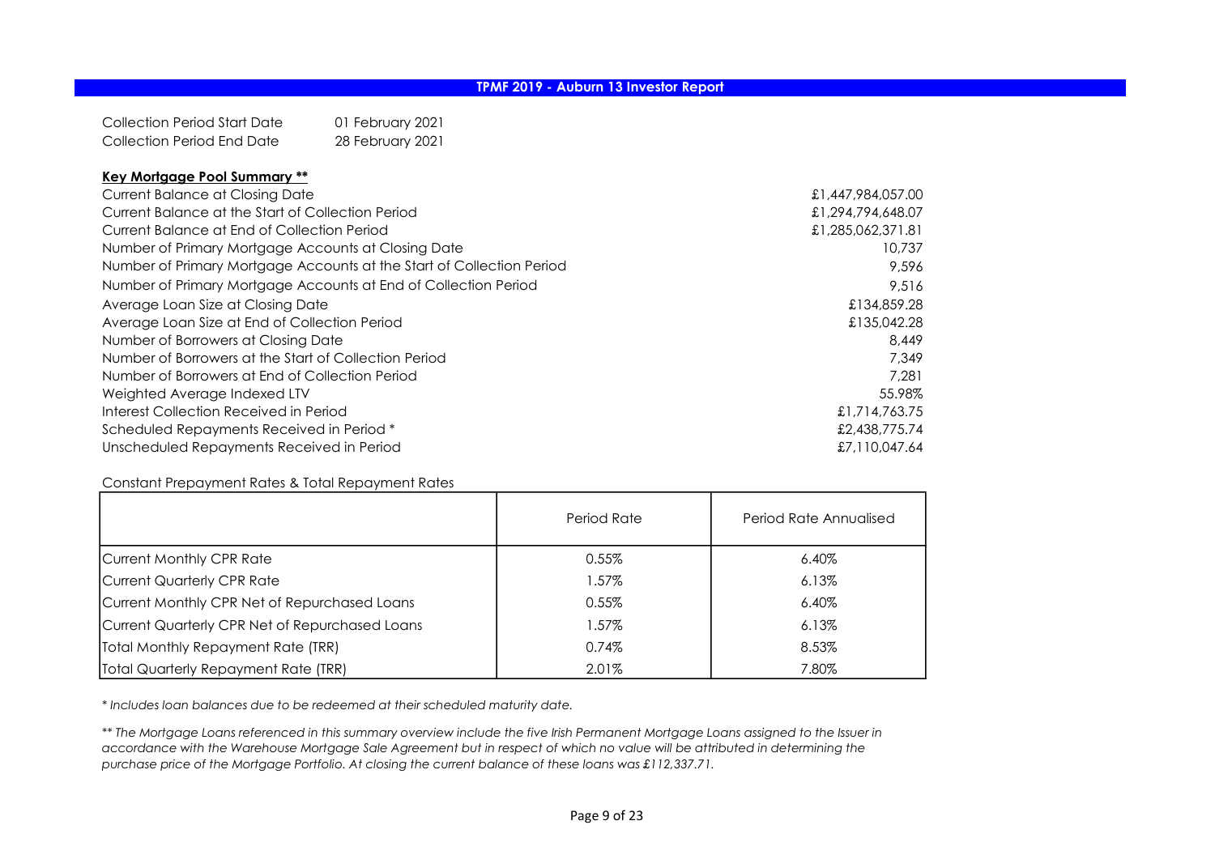Collection Period Start Date 01 February 2021 Collection Period End Date 28 February 2021

## Key Mortgage Pool Summary \*\*

| <b>Current Balance at Closing Date</b>                                | £1,447,984,057.00 |
|-----------------------------------------------------------------------|-------------------|
| Current Balance at the Start of Collection Period                     | £1,294,794,648.07 |
| Current Balance at End of Collection Period                           | £1,285,062,371.81 |
| Number of Primary Mortgage Accounts at Closing Date                   | 10,737            |
| Number of Primary Mortgage Accounts at the Start of Collection Period | 9,596             |
| Number of Primary Mortgage Accounts at End of Collection Period       | 9,516             |
| Average Loan Size at Closing Date                                     | £134,859.28       |
| Average Loan Size at End of Collection Period                         | £135,042.28       |
| Number of Borrowers at Closing Date                                   | 8.449             |
| Number of Borrowers at the Start of Collection Period                 | 7.349             |
| Number of Borrowers at End of Collection Period                       | 7.281             |
| Weighted Average Indexed LTV                                          | 55.98%            |
| Interest Collection Received in Period                                | £1,714,763,75     |
| Scheduled Repayments Received in Period *                             | £2,438,775.74     |
| Unscheduled Repayments Received in Period                             | £7,110,047.64     |

### Constant Prepayment Rates & Total Repayment Rates

|                                                | Period Rate | Period Rate Annualised |
|------------------------------------------------|-------------|------------------------|
| Current Monthly CPR Rate                       | $0.55\%$    | $6.40\%$               |
| Current Quarterly CPR Rate                     | 1.57%       | $6.13\%$               |
| Current Monthly CPR Net of Repurchased Loans   | 0.55%       | $6.40\%$               |
| Current Quarterly CPR Net of Repurchased Loans | 1.57%       | $6.13\%$               |
| Total Monthly Repayment Rate (TRR)             | 0.74%       | 8.53%                  |
| Total Quarterly Repayment Rate (TRR)           | 2.01%       | 7.80%                  |

\* Includes loan balances due to be redeemed at their scheduled maturity date.

\*\* The Mortgage Loans referenced in this summary overview include the five Irish Permanent Mortgage Loans assigned to the Issuer in accordance with the Warehouse Mortgage Sale Agreement but in respect of which no value will be attributed in determining the purchase price of the Mortgage Portfolio. At closing the current balance of these loans was £112,337.71.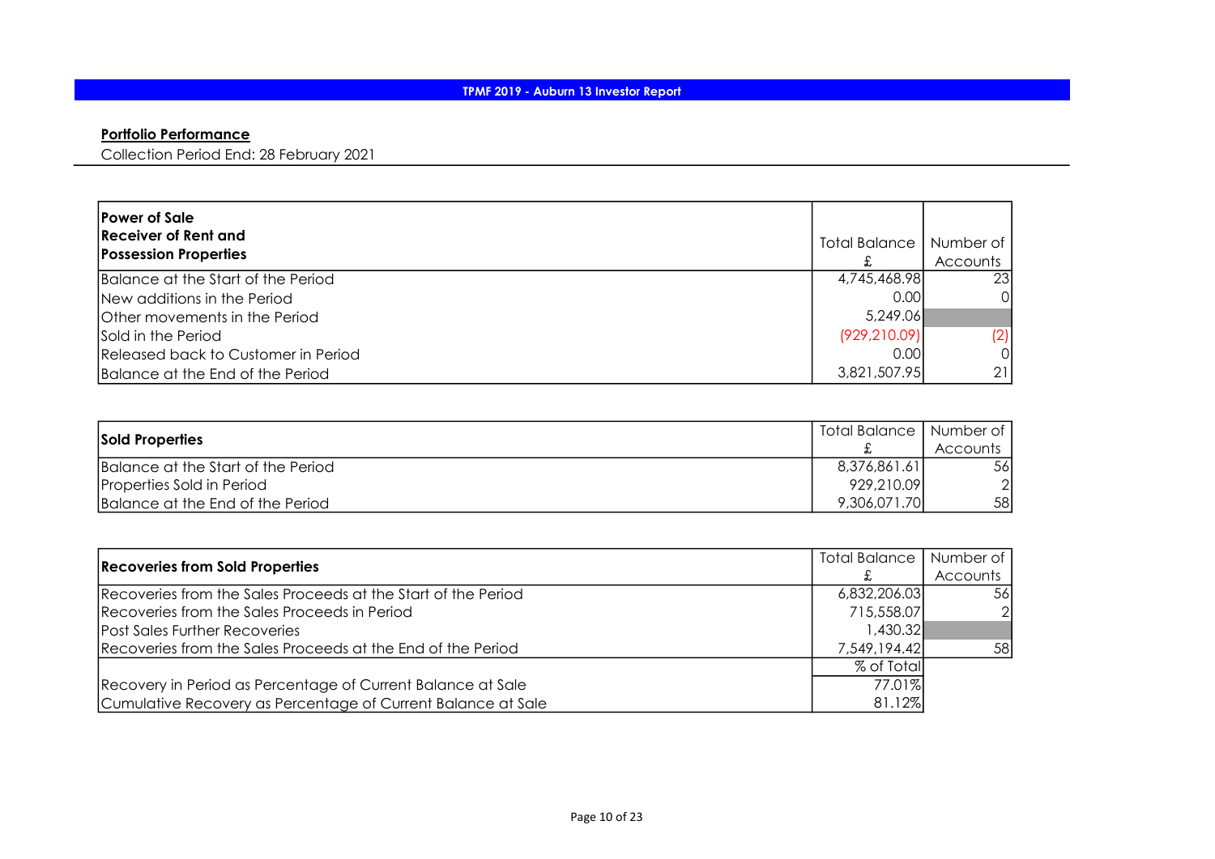# Portfolio Performance

Collection Period End: 28 February 2021

| <b>Power of Sale</b><br>Receiver of Rent and<br><b>Possession Properties</b> | Total Balance | Number of<br><b>Accounts</b> |
|------------------------------------------------------------------------------|---------------|------------------------------|
| Balance at the Start of the Period                                           | 4,745,468.98  | <b>23</b>                    |
| New additions in the Period                                                  | 0.001         | 0I                           |
| Other movements in the Period                                                | 5,249.06      |                              |
| <b>Sold in the Period</b>                                                    | (929, 210.09) | (2)                          |
| Released back to Customer in Period                                          | 0.001         | 0I                           |
| Balance at the End of the Period                                             | 3,821,507.95  | 211                          |

| Sold Properties                    | Total Balance   Number of |                 |
|------------------------------------|---------------------------|-----------------|
|                                    |                           | <b>Accounts</b> |
| Balance at the Start of the Period | 8,376,861.61              | 56I             |
| Properties Sold in Period          | 929,210.09                | ി               |
| Balance at the End of the Period   | 9,306,071.70              | 58              |

| <b>Recoveries from Sold Properties</b>                        |              | Total Balance   Number of |
|---------------------------------------------------------------|--------------|---------------------------|
|                                                               |              | Accounts                  |
| Recoveries from the Sales Proceeds at the Start of the Period | 6,832,206.03 | .56I                      |
| Recoveries from the Sales Proceeds in Period                  | 715,558.07   | $\overline{2}$            |
| <b>Post Sales Further Recoveries</b>                          | 1.430.32     |                           |
| Recoveries from the Sales Proceeds at the End of the Period   | 7,549,194.42 | 58                        |
|                                                               | % of Total   |                           |
| Recovery in Period as Percentage of Current Balance at Sale   | 77.01%       |                           |
| Cumulative Recovery as Percentage of Current Balance at Sale  | 81.12%       |                           |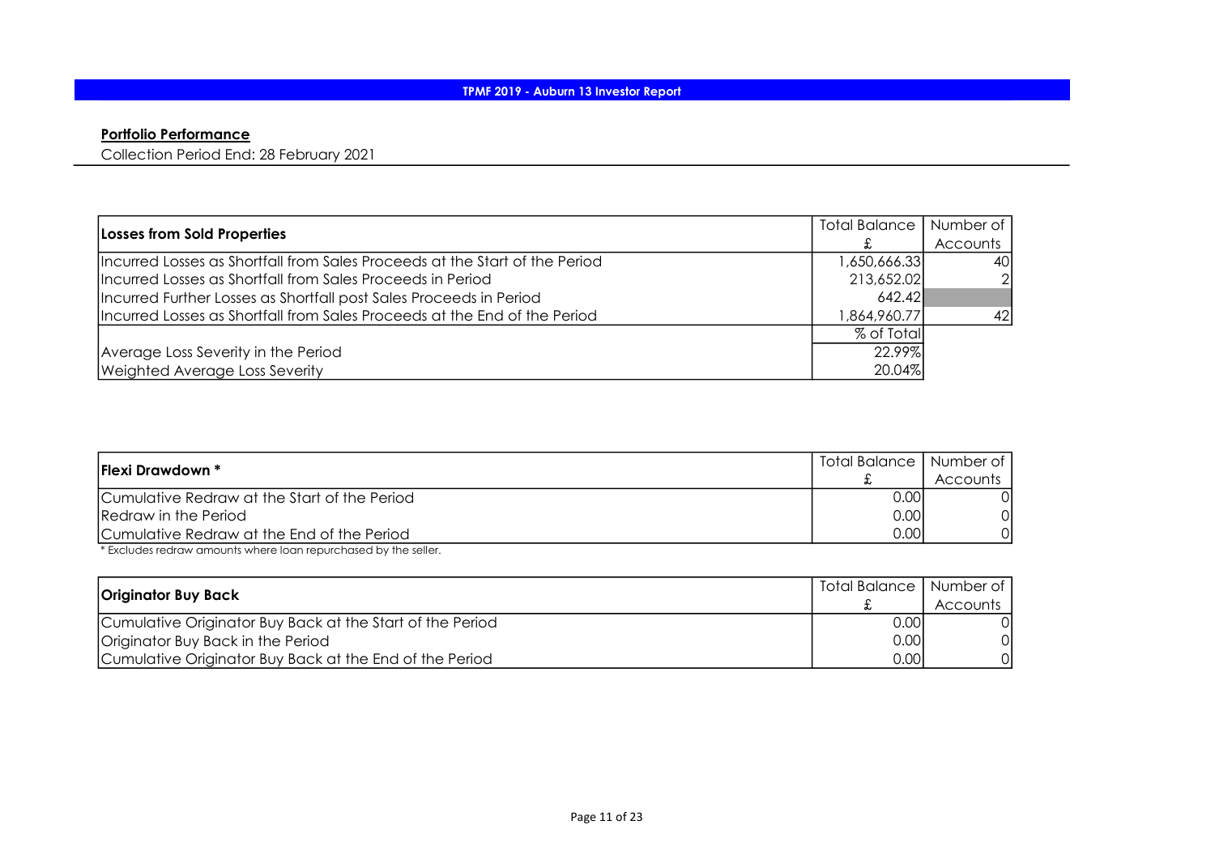# Portfolio Performance

Collection Period End: 28 February 2021

| Losses from Sold Properties                                                 | Total Balance | Number of       |
|-----------------------------------------------------------------------------|---------------|-----------------|
|                                                                             |               | <b>Accounts</b> |
| Incurred Losses as Shortfall from Sales Proceeds at the Start of the Period | 650,666.33, ا | 40I             |
| Incurred Losses as Shortfall from Sales Proceeds in Period                  | 213,652.02    | 21              |
| Incurred Further Losses as Shortfall post Sales Proceeds in Period          | 642.42        |                 |
| Incurred Losses as Shortfall from Sales Proceeds at the End of the Period   | 864, 960. 77  | 42              |
|                                                                             | % of Total    |                 |
| Average Loss Severity in the Period                                         | 22.99%        |                 |
| <b>Weighted Average Loss Severity</b>                                       | 20.04%        |                 |

| <b>Flexi Drawdown *</b>                      | Total Balance   Number of |          |
|----------------------------------------------|---------------------------|----------|
|                                              |                           | Accounts |
| Cumulative Redraw at the Start of the Period | 0.00                      |          |
| Redraw in the Period                         | 0.00                      |          |
| Cumulative Redraw at the End of the Period   | 0.00                      |          |

\* Excludes redraw amounts where loan repurchased by the seller.

| <b>Originator Buy Back</b>                                |       | Total Balance   Number of |
|-----------------------------------------------------------|-------|---------------------------|
|                                                           |       | Accounts                  |
| Cumulative Originator Buy Back at the Start of the Period | 0.001 |                           |
| Originator Buy Back in the Period                         | 0.00  | Οl                        |
| Cumulative Originator Buy Back at the End of the Period   | 0.00  | Οl                        |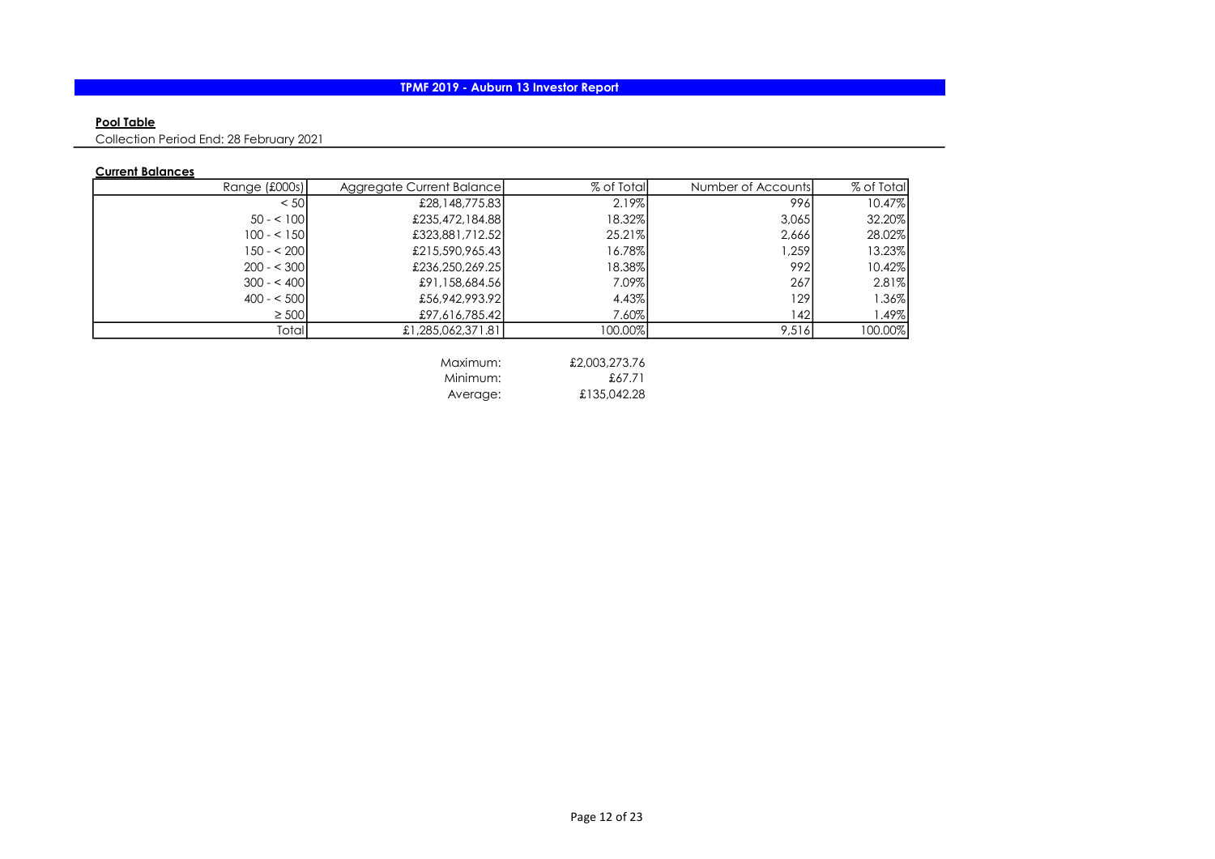## Pool Table

Collection Period End: 28 February 2021

## Current Balances

| Range (£000s) | Aggregate Current Balancel | % of Total | Number of Accounts | % of Total |
|---------------|----------------------------|------------|--------------------|------------|
| < 501         | £28,148,775.83             | 2.19%      | 996I               | 10.47%     |
| $50 - 100$    | £235,472,184.88            | 18.32%     | 3,065              | 32.20%     |
| $100 - 5150$  | £323,881,712.52            | 25.21%     | 2,666              | 28.02%     |
| $150 - 200$   | £215,590,965.43            | 16.78%     | ,259               | 13.23%     |
| $200 - 5300$  | £236,250,269.25            | 18.38%     | 992I               | $10.42\%$  |
| $300 - 400$   | £91,158,684.56             | 7.09%      | 267                | 2.81%      |
| $400 - 500$   | £56,942,993.92             | 4.43%      | 129                | 1.36%      |
| $\geq 500$    | £97,616,785.42             | 7.60%      | 42                 | 1.49%      |
| Totall        | £1,285,062,371.81          | 100.00%    | 9,516              | 100.00%    |

| Maximum: | £2,003,273.76 |
|----------|---------------|
| Minimum: | £67.71        |
| Average: | £135,042.28   |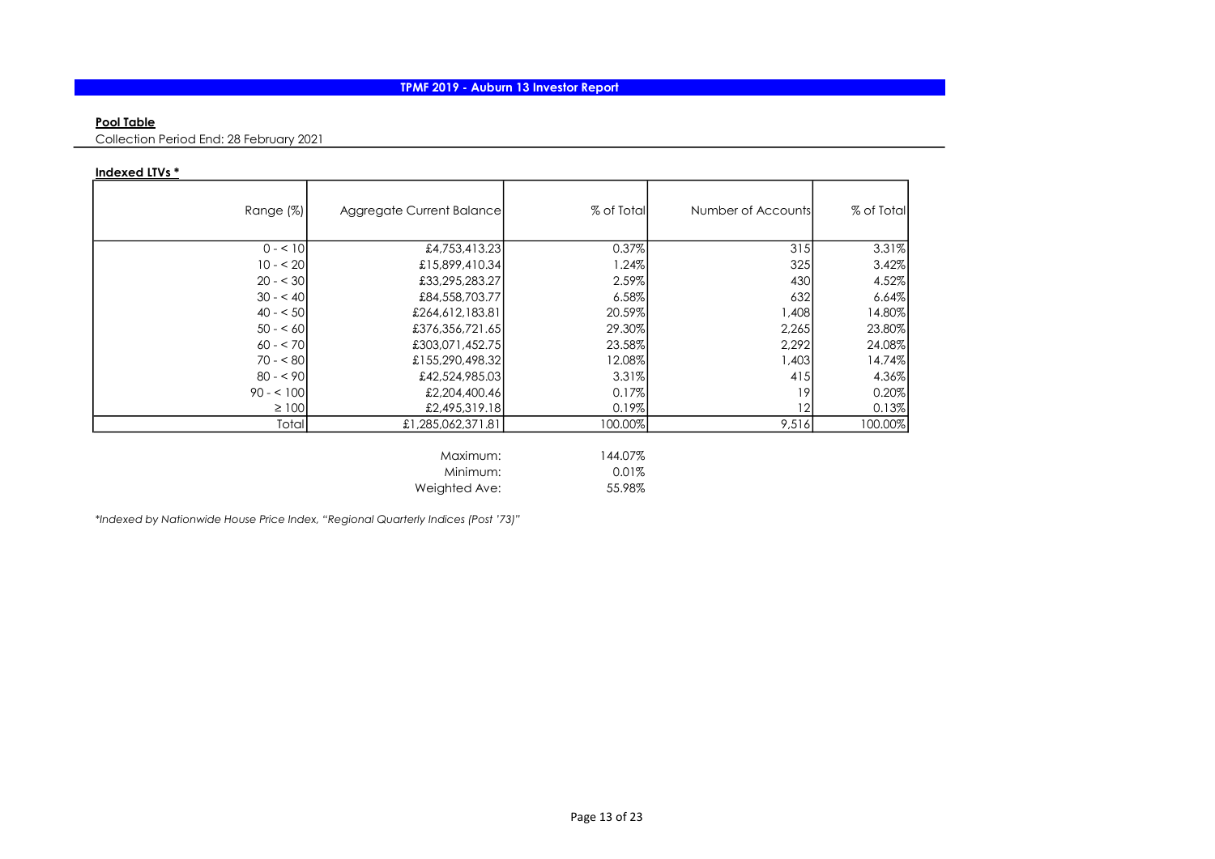### Pool Table

Collection Period End: 28 February 2021

### Indexed LTVs \*

| Range (%)  | Aggregate Current Balance | % of Total | Number of Accounts | % of Total |
|------------|---------------------------|------------|--------------------|------------|
| $0 - 10$   | £4,753,413.23             | 0.37%      | 315                | 3.31%      |
| $10 - 20$  | £15,899,410.34            | 1.24%      | 325                | 3.42%      |
| $20 - 30$  | £33,295,283.27            | 2.59%      | 430                | 4.52%      |
| $30 - 40$  | £84,558,703.77            | 6.58%      | 632                | 6.64%      |
| $40 - 50$  | £264,612,183.81           | 20.59%     | 1,408              | 14.80%     |
| $50 - 60$  | £376,356,721.65           | 29.30%     | 2,265              | 23.80%     |
| $60 - 570$ | £303,071,452.75           | 23.58%     | 2,292              | 24.08%     |
| $70 - 80$  | £155,290,498.32           | 12.08%     | 1,403              | 14.74%     |
| $80 - 90$  | £42,524,985.03            | 3.31%      | 415                | 4.36%      |
| $90 - 100$ | £2,204,400.46             | 0.17%      | 19                 | 0.20%      |
| $\geq 100$ | £2,495,319.18             | 0.19%      | 12                 | 0.13%      |
| Total      | £1,285,062,371.81         | 100.00%    | 9,516              | 100.00%    |
|            | Maximum:                  | 144.07%    |                    |            |

Minimum: 0.01%

Weighted Ave: 55.98%

\*Indexed by Nationwide House Price Index, "Regional Quarterly Indices (Post '73)"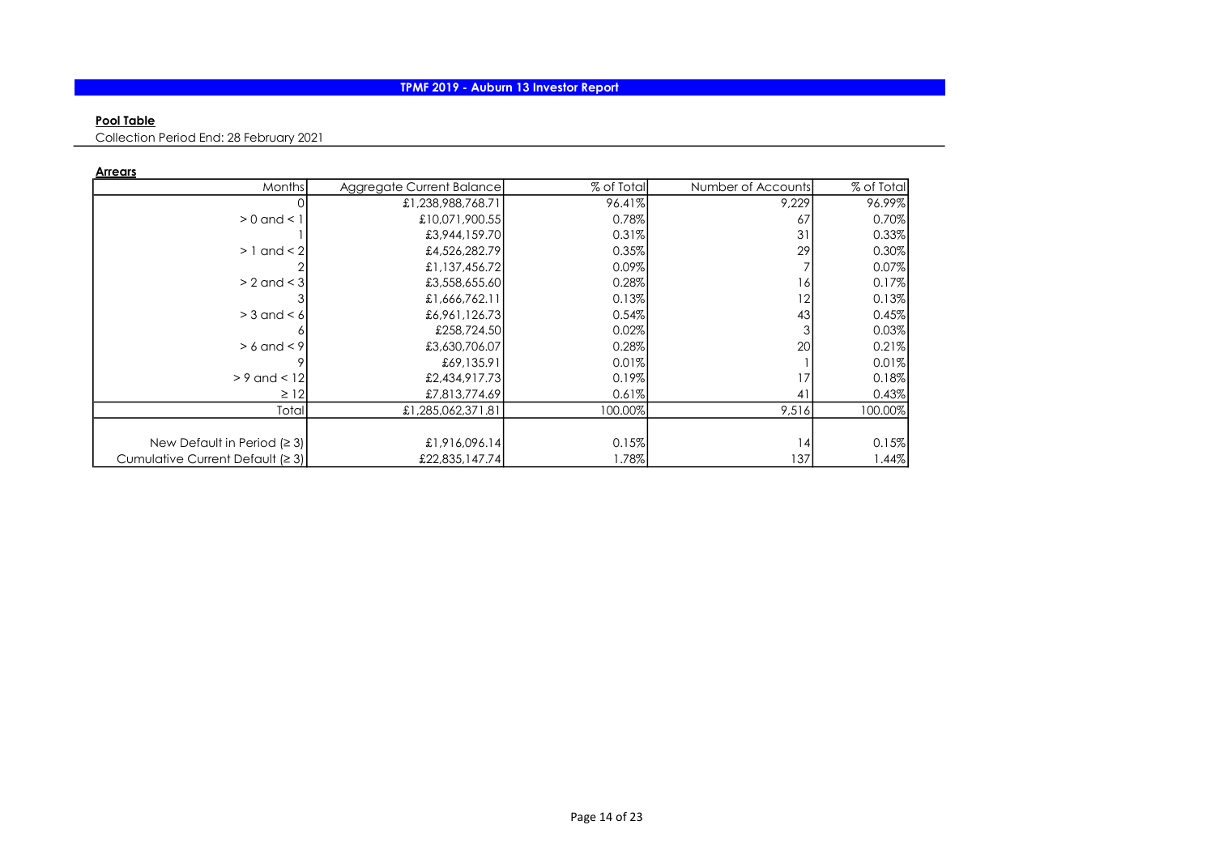### Pool Table

Collection Period End: 28 February 2021

|--|

| Months                           | Aggregate Current Balance | % of Total | Number of Accounts | % of Total |
|----------------------------------|---------------------------|------------|--------------------|------------|
|                                  | £1,238,988,768.71         | 96.41%     | 9,229              | 96.99%     |
| $> 0$ and $< 1$                  | £10,071,900.55            | 0.78%      | 67                 | 0.70%      |
|                                  | £3,944,159.70             | 0.31%      | 31                 | 0.33%      |
| $>1$ and $<$ 2                   | £4,526,282.79             | 0.35%      | 29                 | 0.30%      |
|                                  | £1,137,456.72             | 0.09%      |                    | $0.07\%$   |
| $> 2$ and $<$ 3                  | £3,558,655.60             | 0.28%      | 16                 | 0.17%      |
|                                  | £1,666,762.11             | 0.13%      | 12                 | 0.13%      |
| $>$ 3 and $<$ 6                  | £6,961,126.73             | 0.54%      | 43                 | 0.45%      |
|                                  | £258,724.50               | 0.02%      |                    | 0.03%      |
| $> 6$ and $< 9$                  | £3,630,706.07             | 0.28%      | 20 <sup>1</sup>    | 0.21%      |
|                                  | £69,135.91                | 0.01%      |                    | 0.01%      |
| $> 9$ and $< 12$                 | £2,434,917.73             | 0.19%      | 17                 | 0.18%      |
| $\geq$ 12                        | £7,813,774.69             | 0.61%      | 41                 | 0.43%      |
| Total                            | £1,285,062,371.81         | 100.00%    | 9,516              | 100.00%    |
|                                  |                           |            |                    |            |
| New Default in Period $(23)$     | £1,916,096.14             | 0.15%      | 4                  | 0.15%      |
| Cumulative Current Default (≥ 3) | £22,835,147.74            | 1.78%      | 137                | $1.44\%$   |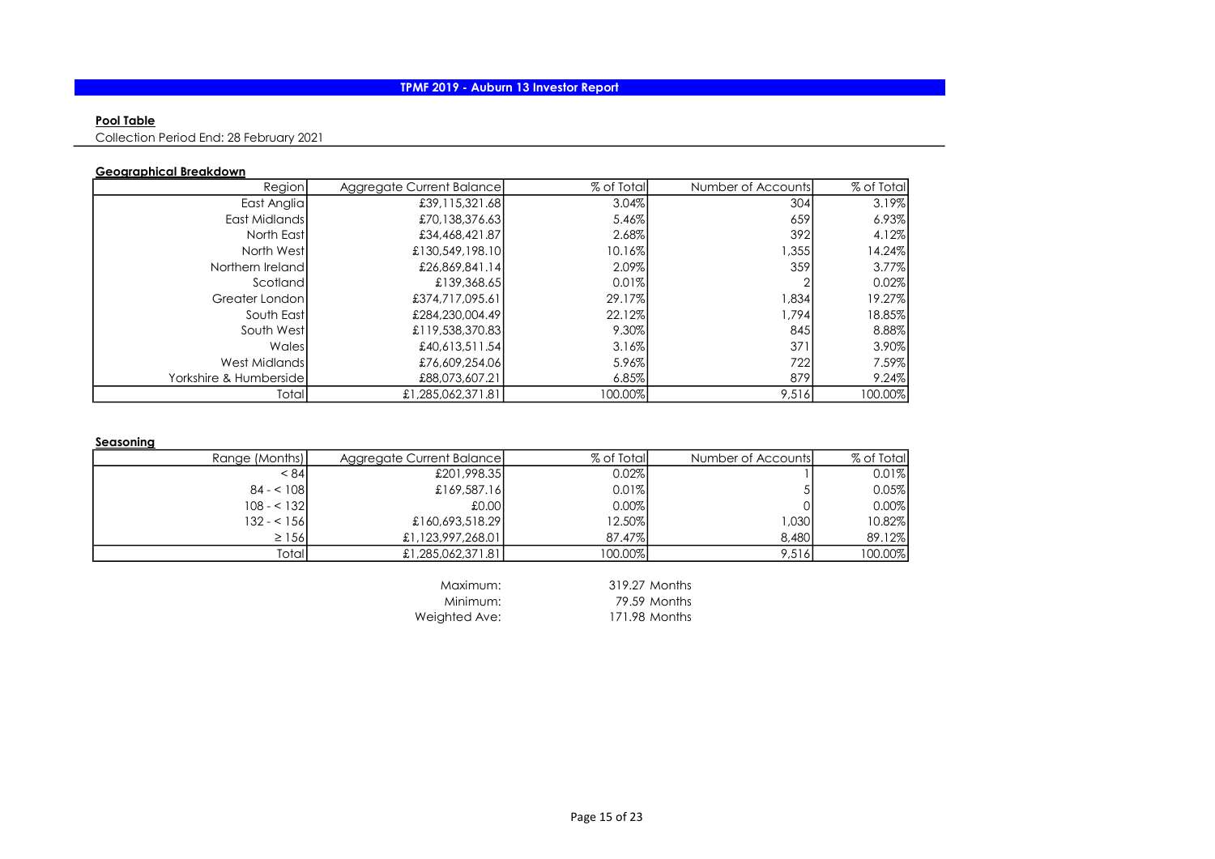### Pool Table

Collection Period End: 28 February 2021

## Geographical Breakdown

| Region                  | Aggregate Current Balance | % of Total | Number of Accounts | % of Total |
|-------------------------|---------------------------|------------|--------------------|------------|
| East Anglia             | £39,115,321.68            | 3.04%      | 304                | 3.19%      |
| East Midlands           | £70,138,376.63            | 5.46%      | 659                | 6.93%      |
| North Eastl             | £34,468,421.87            | 2.68%      | 392                | 4.12%      |
| North West              | £130,549,198.10           | $10.16\%$  | 1,355              | 14.24%     |
| Northern Ireland        | £26,869,841.14            | 2.09%      | 359                | $3.77\%$   |
| Scotland                | £139,368.65               | 0.01%      |                    | 0.02%      |
| Greater London          | £374,717,095.61           | 29.17%     | 1,834              | 19.27%     |
| South East              | £284,230,004.49           | 22.12%     | 1,794              | 18.85%     |
| South West              | £119,538,370.83           | 9.30%      | 845                | 8.88%      |
| Wales                   | £40.613.511.54            | 3.16%      | 371                | $3.90\%$   |
| West Midlands           | £76,609,254.06            | 5.96%      | 722                | 7.59%      |
| Yorkshire & Humbersidel | £88,073,607.21            | 6.85%      | 879                | 9.24%      |
| Total                   | £1,285,062,371.81         | 100.00%    | 9,516              | 100.00%    |

#### **Seasoning**

| Range (Months) | Aggregate Current Balancel | % of Total | Number of Accountsl | % of Total |
|----------------|----------------------------|------------|---------------------|------------|
| < 841          | £201,998.35                | 0.02%      |                     | 0.01%      |
| $84 - 108$     | £169,587.16                | $0.01\%$   |                     | 0.05%      |
| $108 - 132$    | £0.00                      | 0.00%      |                     | 0.00%      |
| $132 - 156$    | £160,693,518.29            | 12.50%     | 1.030 <sub>l</sub>  | 10.82%     |
| $\geq$ 156     | £1,123,997,268.01          | 87.47%     | 8.480               | 89.12%     |
| Totall         | £1,285,062,371.81          | 100.00%    | 9.516               | 100.00%    |
|                |                            |            |                     |            |

Maximum: 319.27 Months<br>Minimum: 79.59 Months 79.59 Months Weighted Ave: 171.98 Months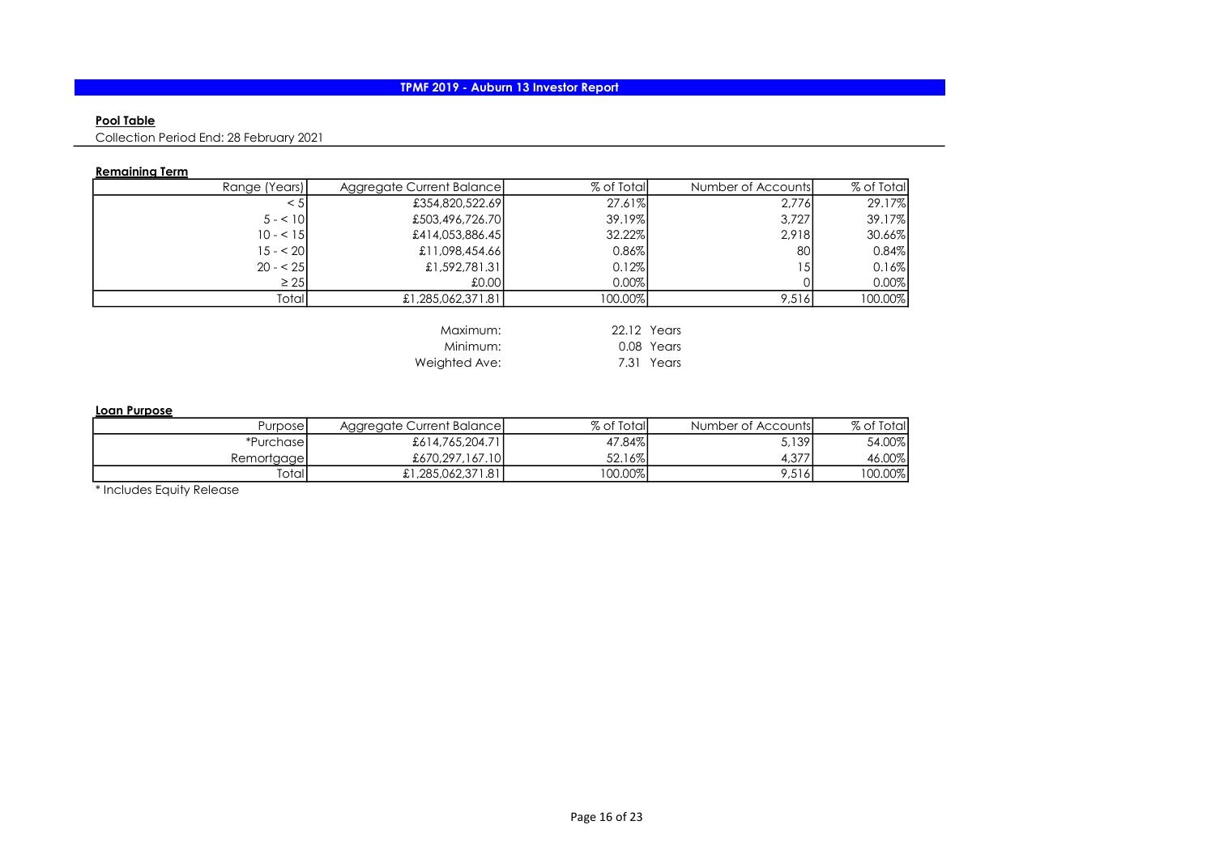### Pool Table

Collection Period End: 28 February 2021

## Remaining Term

| Range (Years) | Aggregate Current Balance | % of Total  | Number of Accounts | % of Total |
|---------------|---------------------------|-------------|--------------------|------------|
| < 5           | £354,820,522.69           | 27.61%      | 2,776              | 29.17%     |
| $5 - 101$     | £503,496,726.70           | 39.19%      | 3.727              | 39.17%     |
| $10 - 51$     | £414,053,886.45           | 32.22%      | 2.918              | 30.66%     |
| $15 - 20$     | £11,098,454.66            | 0.86%       | 80                 | 0.84%      |
| $20 - 25$     | £1,592,781.31             | 0.12%       | 15I                | 0.16%      |
| $\geq 25$     | £0.00                     | $0.00\%$    |                    | $0.00\%$   |
| Totall        | £1,285,062,371.81         | 100.00%     | 9,516              | 100.00%    |
|               |                           |             |                    |            |
|               | Maximum:                  | 22.12 Years |                    |            |
|               | Minimum:                  |             | 0.08 Years         |            |
|               | Weighted Ave:             |             | 7.31 Years         |            |

#### Loan Purpose

| Purposel    | Aggregate Current Balancel | % of Total | Number of Accounts | % of Total |
|-------------|----------------------------|------------|--------------------|------------|
| *Purchase1  | £614,765,204.71            | 47.84%     | 5,139              | 54.00%     |
| Remortgagel | £670,297,167,10            | 52.16%     | 4,377              | 46.00%     |
| Totall      | £1,285,062,371.81          | 100.00%    | 9,516              | I00.00%    |

\* Includes Equity Release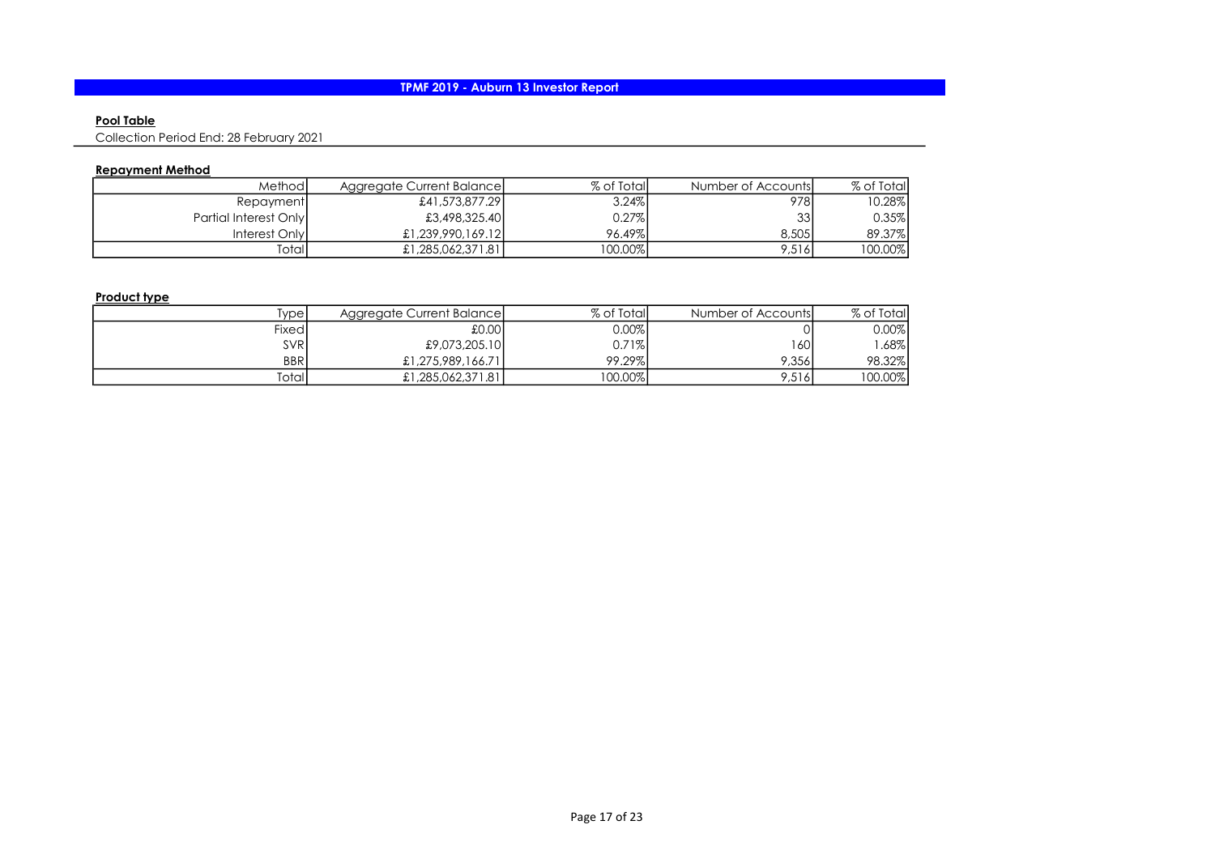### Pool Table

Collection Period End: 28 February 2021

## Repayment Method

| Methodl               | Aggregate Current Balance | % of Total  | Number of Accounts | % of Total |
|-----------------------|---------------------------|-------------|--------------------|------------|
| Repayment             | £41,573,877.29            | 3.24%       | 978I               | 10.28%     |
| Partial Interest Only | £3,498,325.40             | 0.27%       | 33 <sup>1</sup>    | $0.35\%$   |
| Interest Only         | £1,239,990,169,12         | 96.49%      | 8,505              | 89.37%     |
| Totall                | £1,285,062,371.81         | $ 00.00\% $ | 9.516              | 100.00%    |

## Product type

| ivpel       | Aggregate Current Balance | % of Total | Number of Accounts | % of Total |
|-------------|---------------------------|------------|--------------------|------------|
| Fixedl      | 0.00                      | $0.00\%$   |                    | $0.00\%$   |
| <b>SVR</b>  | £9,073,205.10             | 0.71%      | 1601               | .68%       |
| <b>BBRI</b> | £1,275,989,166,71         | 99.29%     | 9.356              | 98.32%     |
| Totall      | £1,285,062,371.81         | $00.00\%$  | 9,516              | $00.00\%$  |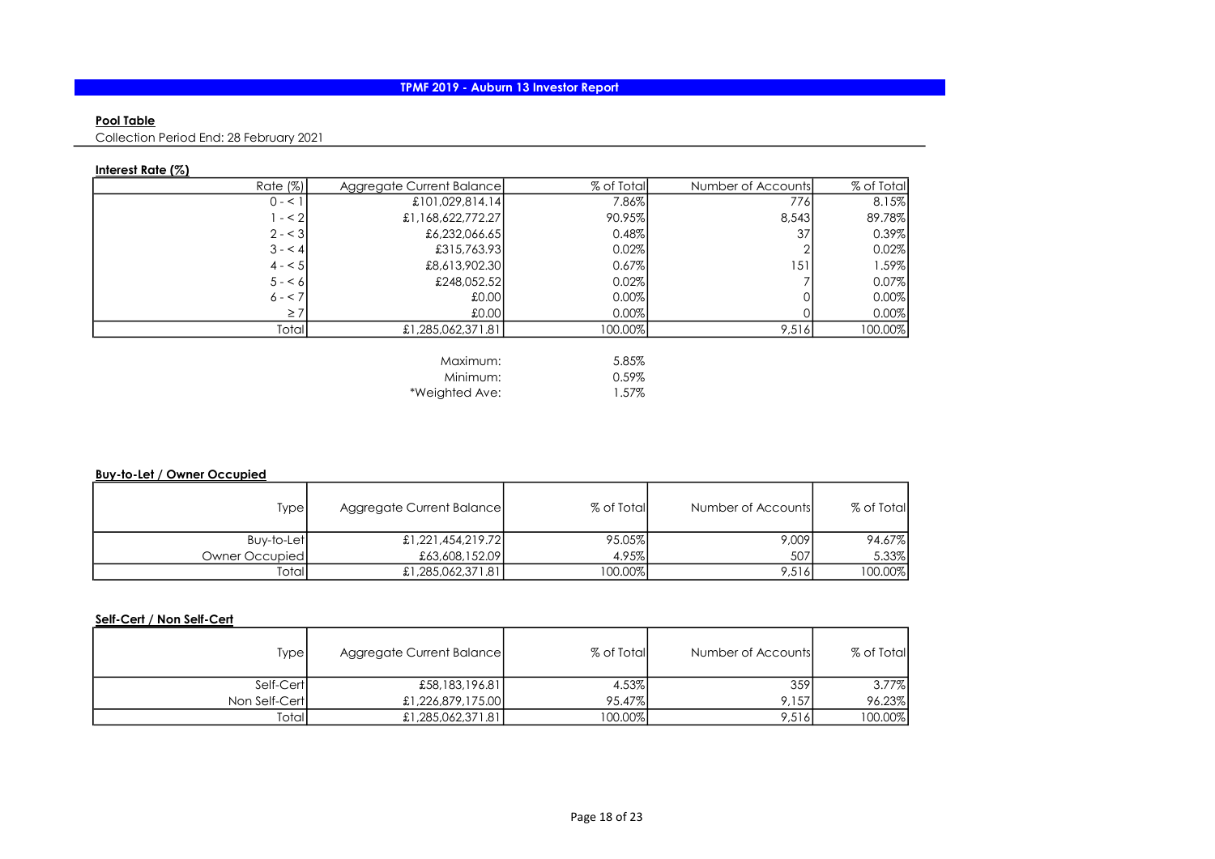### Pool Table

Collection Period End: 28 February 2021

## Interest Rate (%)

| % of Total | Number of Accounts | % of Total | Aggregate Current Balance | Rate $(\%)$ |
|------------|--------------------|------------|---------------------------|-------------|
| 8.15%      | 776I               | 7.86%      | £101,029,814.14           | $0 - 1$     |
| 89.78%     | 8,543              | 90.95%     | £1,168,622,772.27         | $- < 2$     |
| 0.39%      | 37                 | 0.48%      | £6,232,066.65             | $2 - 3$     |
| 0.02%      |                    | 0.02%      | £315,763.93               | $3 - 4$     |
| .59%       | 151                | 0.67%      | £8,613,902.30             | $4 - 5$     |
| 0.07%      |                    | 0.02%      | £248,052.52               | $5 - 6$     |
| 0.00%      |                    | 0.00%      | .000                      | $6 - 7$     |
| 0.00%      |                    | 0.00%      | 00.03                     | $\geq 7$    |
| 100.00%    | 9,516              | 100.00%    | £1,285,062,371.81         | Total       |
|            |                    |            |                           |             |
|            |                    | 5.85%      | Maximum:                  |             |
|            |                    | 0.59%      | Minimum:                  |             |

\*Weighted Ave: 1.57%

#### Buy-to-Let / Owner Occupied

| Type           | Aggregate Current Balance | % of Total | Number of Accounts | % of Total |
|----------------|---------------------------|------------|--------------------|------------|
| Buy-to-Let     | £1,221,454,219.72         | 95.05%     | 9,009              | 94.67%     |
| Owner Occupied | £63,608,152.09            | 4.95%      | 507 <sup>1</sup>   | 5.33%      |
| Totall         | £1,285,062,371.81         | 100.00%    | 9,516              | 100.00%    |

#### Self-Cert / Non Self-Cert

| Type          | Aggregate Current Balance | % of Total | Number of Accountsl | % of Total |
|---------------|---------------------------|------------|---------------------|------------|
| Self-Cert     | £58,183,196.81            | 4.53%      | 359 l               | $3.77\%$   |
| Non Self-Cert | £1,226,879,175.00         | 95.47%     | 9.157               | 96.23%     |
| Totall        | £1,285,062,371.81         | 100.00%    | 9,516               | 100.00%    |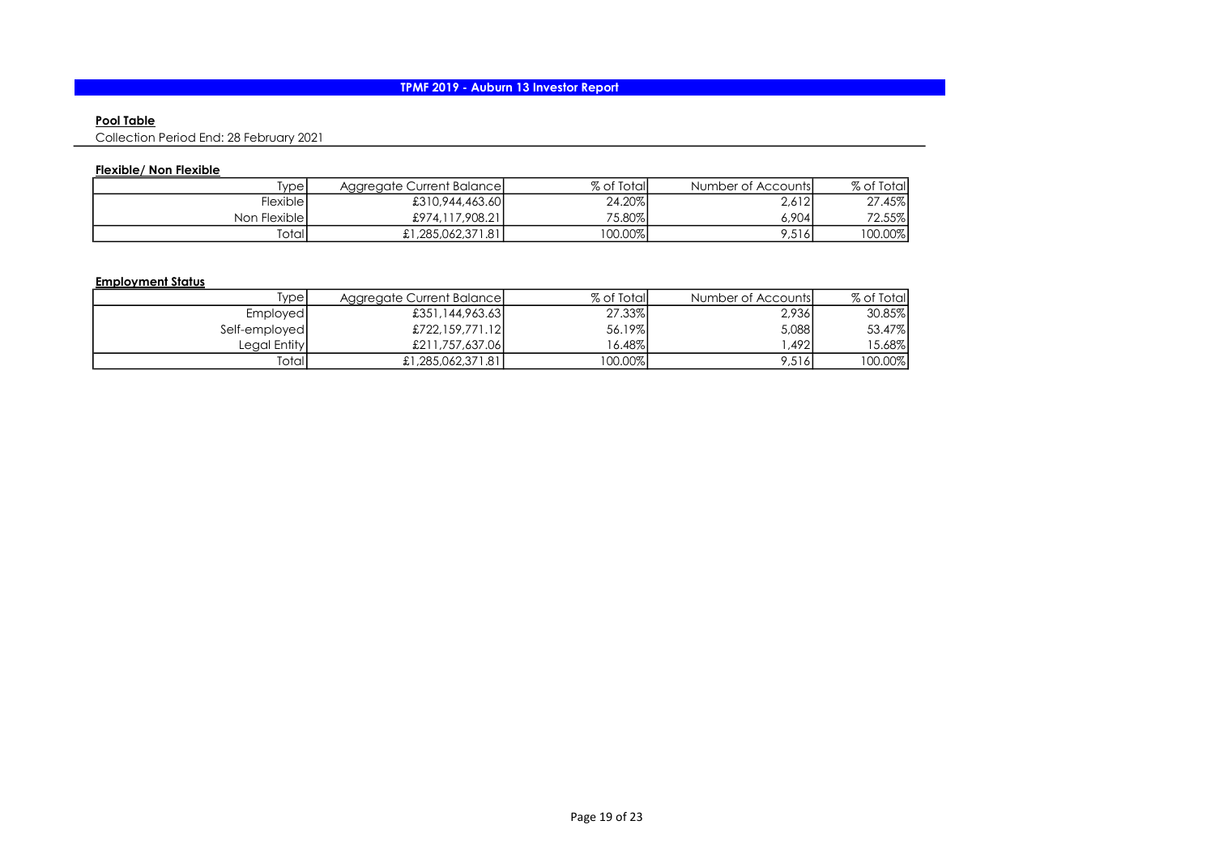### Pool Table

Collection Period End: 28 February 2021

## Flexible/ Non Flexible

| ivpel             | Aggregate Current Balancel | % of Total | Number of Accounts | % of Total |
|-------------------|----------------------------|------------|--------------------|------------|
| Flexible <b>I</b> | £310,944,463.60            | 24.20%     | 2,612              | 27.45%     |
| Non Flexible      | £974,117,908.21            | 75.80%     | 0.904              | 72.55%     |
| Totall            | £1,285,062,371.81          | $00.00\%$  | 9,516              | 100.00%    |

## Employment Status

| [ype]         | Aggregate Current Balancel | % of Total | Number of Accounts | % of Totall |
|---------------|----------------------------|------------|--------------------|-------------|
| Employed      | £351,144,963,631           | 27.33%     | 2,936              | 30.85%      |
| Self-employed | £722,159,771.12            | 56.19%     | 5,088              | 53.47%      |
| Leaal Entityl | £211.757.637.06            | 6.48%      | .4921              | 5.68%       |
| Totall        | £1,285,062,371.81          | 100.00%    | 9,516              | 100.00%     |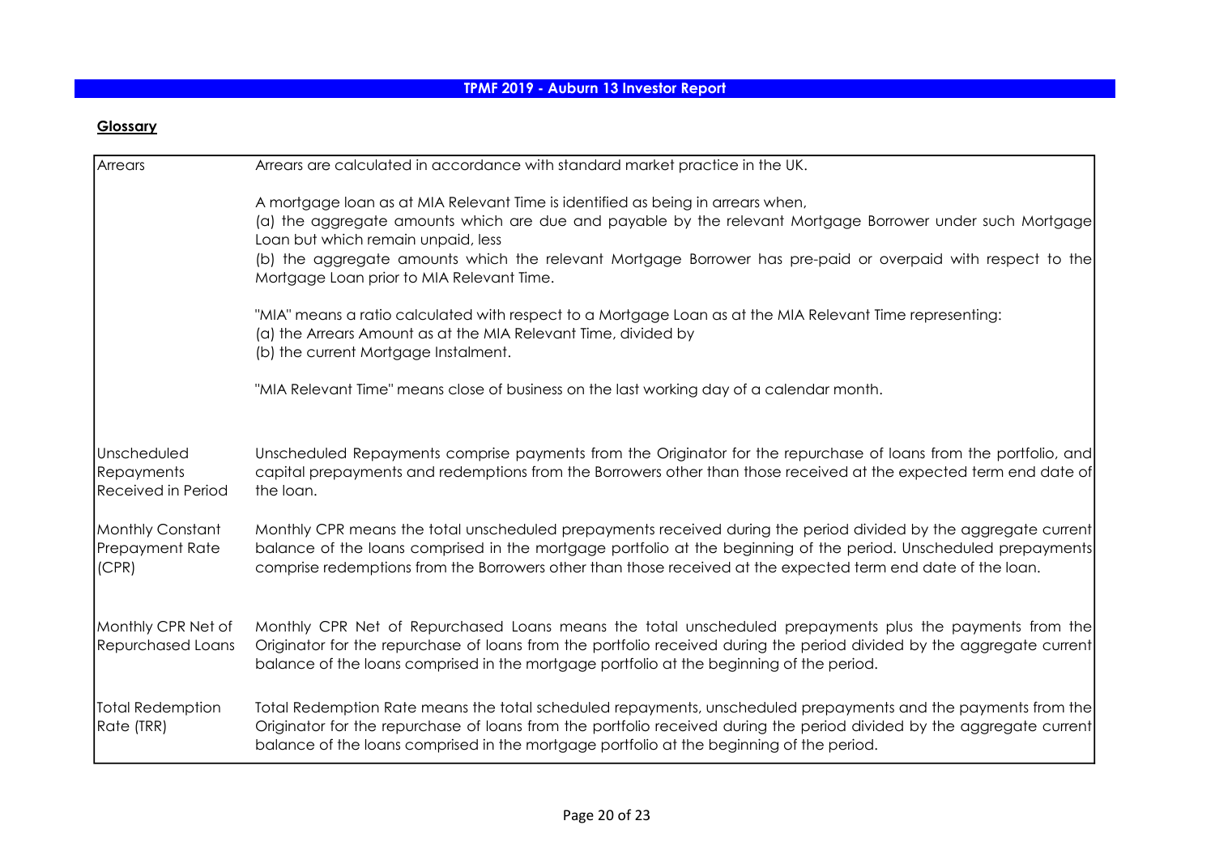# **Glossary**

| Arrears                                                       | Arrears are calculated in accordance with standard market practice in the UK.                                                                                                                                                                                                                                                                                                                  |
|---------------------------------------------------------------|------------------------------------------------------------------------------------------------------------------------------------------------------------------------------------------------------------------------------------------------------------------------------------------------------------------------------------------------------------------------------------------------|
|                                                               | A mortgage loan as at MIA Relevant Time is identified as being in arrears when,<br>(a) the aggregate amounts which are due and payable by the relevant Mortgage Borrower under such Mortgage<br>Loan but which remain unpaid, less<br>(b) the aggregate amounts which the relevant Mortgage Borrower has pre-paid or overpaid with respect to the<br>Mortgage Loan prior to MIA Relevant Time. |
|                                                               | "MIA" means a ratio calculated with respect to a Mortgage Loan as at the MIA Relevant Time representing:<br>(a) the Arrears Amount as at the MIA Relevant Time, divided by<br>(b) the current Mortgage Instalment.                                                                                                                                                                             |
|                                                               | "MIA Relevant Time" means close of business on the last working day of a calendar month.                                                                                                                                                                                                                                                                                                       |
| Unscheduled<br><b>Repayments</b><br><b>Received in Period</b> | Unscheduled Repayments comprise payments from the Originator for the repurchase of loans from the portfolio, and<br>capital prepayments and redemptions from the Borrowers other than those received at the expected term end date of<br>the loan.                                                                                                                                             |
| Monthly Constant<br><b>Prepayment Rate</b><br>(CPR)           | Monthly CPR means the total unscheduled prepayments received during the period divided by the aggregate current<br>balance of the loans comprised in the mortgage portfolio at the beginning of the period. Unscheduled prepayments<br>comprise redemptions from the Borrowers other than those received at the expected term end date of the loan.                                            |
| Monthly CPR Net of<br><b>Repurchased Loans</b>                | Monthly CPR Net of Repurchased Loans means the total unscheduled prepayments plus the payments from the<br>Originator for the repurchase of loans from the portfolio received during the period divided by the aggregate current<br>balance of the loans comprised in the mortgage portfolio at the beginning of the period.                                                                   |
| Total Redemption<br>Rate (TRR)                                | Total Redemption Rate means the total scheduled repayments, unscheduled prepayments and the payments from the<br>Originator for the repurchase of loans from the portfolio received during the period divided by the aggregate current<br>balance of the loans comprised in the mortgage portfolio at the beginning of the period.                                                             |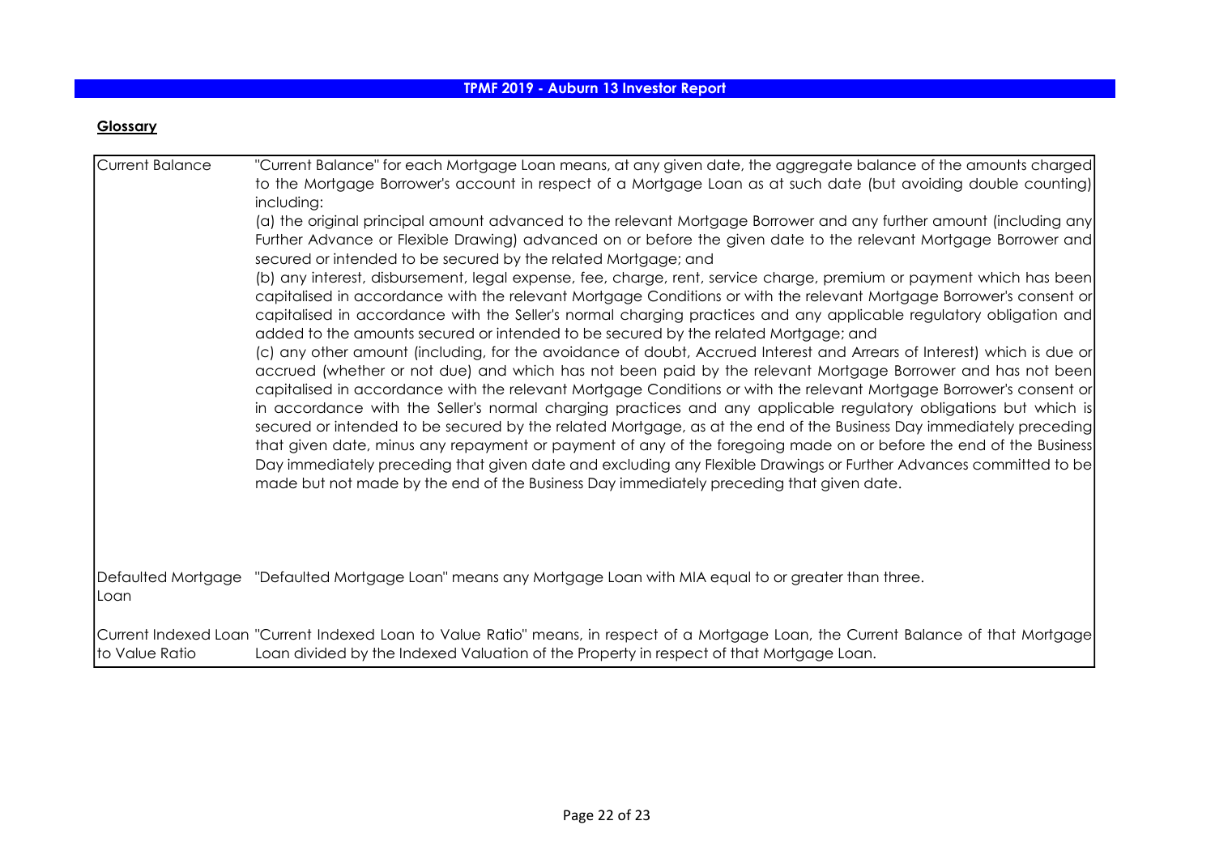# **Glossary**

| Current Balance | "Current Balance" for each Mortgage Loan means, at any given date, the aggregate balance of the amounts charged<br>to the Mortgage Borrower's account in respect of a Mortgage Loan as at such date (but avoiding double counting)<br>including:<br>(a) the original principal amount advanced to the relevant Mortgage Borrower and any further amount (including any<br>Further Advance or Flexible Drawing) advanced on or before the given date to the relevant Mortgage Borrower and<br>secured or intended to be secured by the related Mortgage; and<br>(b) any interest, disbursement, legal expense, fee, charge, rent, service charge, premium or payment which has been<br>capitalised in accordance with the relevant Mortgage Conditions or with the relevant Mortgage Borrower's consent or<br>capitalised in accordance with the Seller's normal charging practices and any applicable regulatory obligation and<br>added to the amounts secured or intended to be secured by the related Mortgage; and<br>(c) any other amount (including, for the avoidance of doubt, Accrued Interest and Arrears of Interest) which is due or<br>accrued (whether or not due) and which has not been paid by the relevant Mortgage Borrower and has not been<br>capitalised in accordance with the relevant Mortgage Conditions or with the relevant Mortgage Borrower's consent or<br>in accordance with the Seller's normal charging practices and any applicable regulatory obligations but which is<br>secured or intended to be secured by the related Mortgage, as at the end of the Business Day immediately preceding<br>that given date, minus any repayment or payment of any of the foregoing made on or before the end of the Business<br>Day immediately preceding that given date and excluding any Flexible Drawings or Further Advances committed to be<br>made but not made by the end of the Business Day immediately preceding that given date. |
|-----------------|-----------------------------------------------------------------------------------------------------------------------------------------------------------------------------------------------------------------------------------------------------------------------------------------------------------------------------------------------------------------------------------------------------------------------------------------------------------------------------------------------------------------------------------------------------------------------------------------------------------------------------------------------------------------------------------------------------------------------------------------------------------------------------------------------------------------------------------------------------------------------------------------------------------------------------------------------------------------------------------------------------------------------------------------------------------------------------------------------------------------------------------------------------------------------------------------------------------------------------------------------------------------------------------------------------------------------------------------------------------------------------------------------------------------------------------------------------------------------------------------------------------------------------------------------------------------------------------------------------------------------------------------------------------------------------------------------------------------------------------------------------------------------------------------------------------------------------------------------------------------------------------------------------------------------------------------------------------------------|
| ILoan           | Defaulted Mortgage "Defaulted Mortgage Loan" means any Mortgage Loan with MIA equal to or greater than three.                                                                                                                                                                                                                                                                                                                                                                                                                                                                                                                                                                                                                                                                                                                                                                                                                                                                                                                                                                                                                                                                                                                                                                                                                                                                                                                                                                                                                                                                                                                                                                                                                                                                                                                                                                                                                                                         |
| to Value Ratio  | Current Indexed Loan "Current Indexed Loan to Value Ratio" means, in respect of a Mortgage Loan, the Current Balance of that Mortgage<br>Loan divided by the Indexed Valuation of the Property in respect of that Mortgage Loan.                                                                                                                                                                                                                                                                                                                                                                                                                                                                                                                                                                                                                                                                                                                                                                                                                                                                                                                                                                                                                                                                                                                                                                                                                                                                                                                                                                                                                                                                                                                                                                                                                                                                                                                                      |